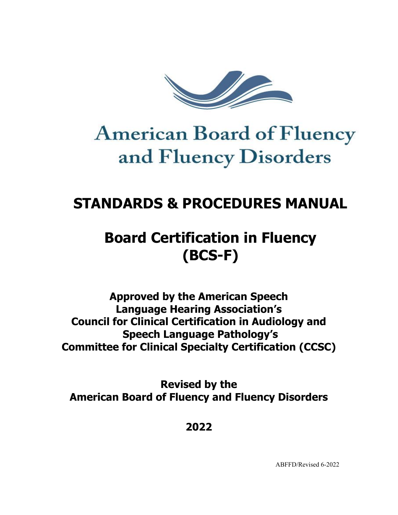

# **American Board of Fluency** and Fluency Disorders

# **STANDARDS & PROCEDURES MANUAL**

# **Board Certification in Fluency (BCS-F)**

**Approved by the American Speech Language Hearing Association's Council for Clinical Certification in Audiology and Speech Language Pathology's Committee for Clinical Specialty Certification (CCSC)**

**Revised by the American Board of Fluency and Fluency Disorders**

**2022**

ABFFD/Revised 6-2022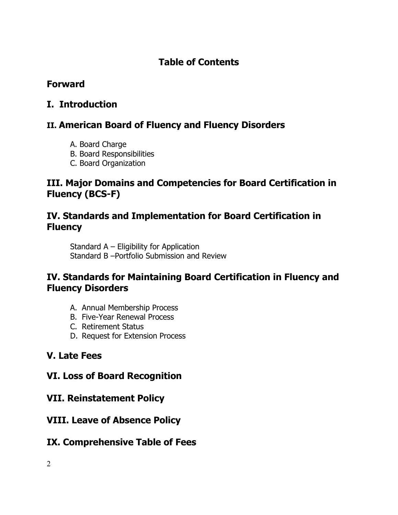# **Table of Contents**

# **Forward**

# **I. Introduction**

# **II. American Board of Fluency and Fluency Disorders**

- A. Board Charge
- B. Board Responsibilities
- C. Board Organization

# **III. Major Domains and Competencies for Board Certification in Fluency (BCS-F)**

# **IV. Standards and Implementation for Board Certification in Fluency**

Standard A – Eligibility for Application Standard B –Portfolio Submission and Review

# **IV. Standards for Maintaining Board Certification in Fluency and Fluency Disorders**

- A. Annual Membership Process
- B. Five-Year Renewal Process
- C. Retirement Status
- D. Request for Extension Process

# **V. Late Fees**

# **VI. Loss of Board Recognition**

**VII. Reinstatement Policy**

# **VIII. Leave of Absence Policy**

# **IX. Comprehensive Table of Fees**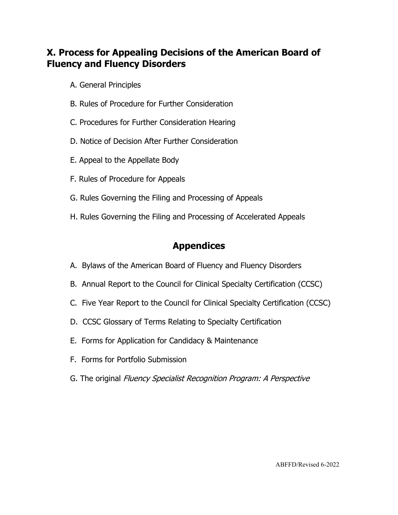# **X. Process for Appealing Decisions of the American Board of Fluency and Fluency Disorders**

- A. General Principles
- B. Rules of Procedure for Further Consideration
- C. Procedures for Further Consideration Hearing
- D. Notice of Decision After Further Consideration
- E. Appeal to the Appellate Body
- F. Rules of Procedure for Appeals
- G. Rules Governing the Filing and Processing of Appeals
- H. Rules Governing the Filing and Processing of Accelerated Appeals

# **Appendices**

- A. Bylaws of the American Board of Fluency and Fluency Disorders
- B. Annual Report to the Council for Clinical Specialty Certification (CCSC)
- C. Five Year Report to the Council for Clinical Specialty Certification (CCSC)
- D. CCSC Glossary of Terms Relating to Specialty Certification
- E. Forms for Application for Candidacy & Maintenance
- F. Forms for Portfolio Submission
- G. The original Fluency Specialist Recognition Program: A Perspective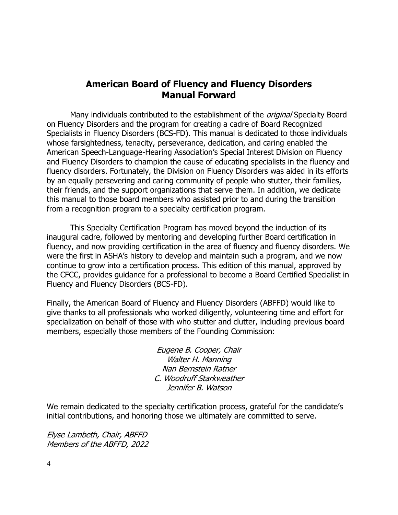### **American Board of Fluency and Fluency Disorders Manual Forward**

Many individuals contributed to the establishment of the *original* Specialty Board on Fluency Disorders and the program for creating a cadre of Board Recognized Specialists in Fluency Disorders (BCS-FD). This manual is dedicated to those individuals whose farsightedness, tenacity, perseverance, dedication, and caring enabled the American Speech-Language-Hearing Association's Special Interest Division on Fluency and Fluency Disorders to champion the cause of educating specialists in the fluency and fluency disorders. Fortunately, the Division on Fluency Disorders was aided in its efforts by an equally persevering and caring community of people who stutter, their families, their friends, and the support organizations that serve them. In addition, we dedicate this manual to those board members who assisted prior to and during the transition from a recognition program to a specialty certification program.

This Specialty Certification Program has moved beyond the induction of its inaugural cadre, followed by mentoring and developing further Board certification in fluency, and now providing certification in the area of fluency and fluency disorders. We were the first in ASHA's history to develop and maintain such a program, and we now continue to grow into a certification process. This edition of this manual, approved by the CFCC, provides guidance for a professional to become a Board Certified Specialist in Fluency and Fluency Disorders (BCS-FD).

Finally, the American Board of Fluency and Fluency Disorders (ABFFD) would like to give thanks to all professionals who worked diligently, volunteering time and effort for specialization on behalf of those with who stutter and clutter, including previous board members, especially those members of the Founding Commission:

> Eugene B. Cooper, Chair Walter H. Manning Nan Bernstein Ratner C. Woodruff Starkweather Jennifer B. Watson

We remain dedicated to the specialty certification process, grateful for the candidate's initial contributions, and honoring those we ultimately are committed to serve.

Elyse Lambeth, Chair, ABFFD Members of the ABFFD, 2022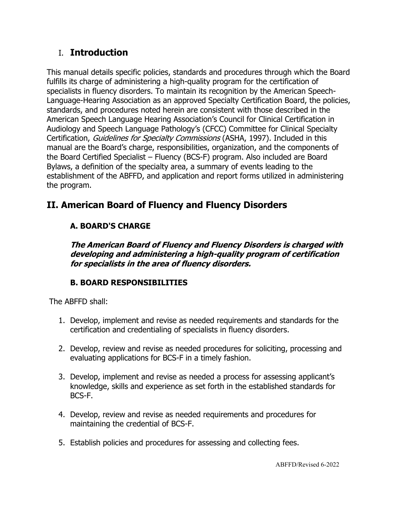# I. **Introduction**

This manual details specific policies, standards and procedures through which the Board fulfills its charge of administering a high-quality program for the certification of specialists in fluency disorders. To maintain its recognition by the American Speech-Language-Hearing Association as an approved Specialty Certification Board, the policies, standards, and procedures noted herein are consistent with those described in the American Speech Language Hearing Association's Council for Clinical Certification in Audiology and Speech Language Pathology's (CFCC) Committee for Clinical Specialty Certification, Guidelines for Specialty Commissions (ASHA, 1997). Included in this manual are the Board's charge, responsibilities, organization, and the components of the Board Certified Specialist – Fluency (BCS-F) program. Also included are Board Bylaws, a definition of the specialty area, a summary of events leading to the establishment of the ABFFD, and application and report forms utilized in administering the program.

# **II. American Board of Fluency and Fluency Disorders**

### **A. BOARD'S CHARGE**

**The American Board of Fluency and Fluency Disorders is charged with developing and administering a high-quality program of certification for specialists in the area of fluency disorders.**

### **B. BOARD RESPONSIBILITIES**

The ABFFD shall:

- 1. Develop, implement and revise as needed requirements and standards for the certification and credentialing of specialists in fluency disorders.
- 2. Develop, review and revise as needed procedures for soliciting, processing and evaluating applications for BCS-F in a timely fashion.
- 3. Develop, implement and revise as needed a process for assessing applicant's knowledge, skills and experience as set forth in the established standards for BCS-F.
- 4. Develop, review and revise as needed requirements and procedures for maintaining the credential of BCS-F.
- 5. Establish policies and procedures for assessing and collecting fees.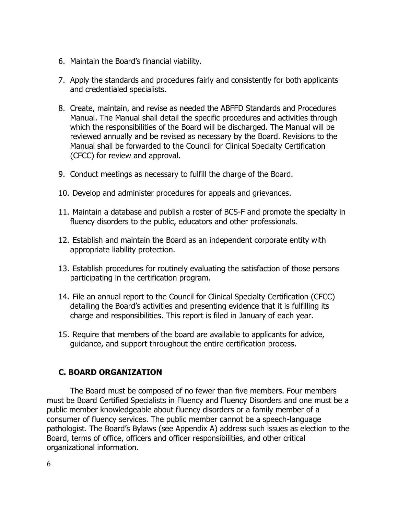- 6. Maintain the Board's financial viability.
- 7. Apply the standards and procedures fairly and consistently for both applicants and credentialed specialists.
- 8. Create, maintain, and revise as needed the ABFFD Standards and Procedures Manual. The Manual shall detail the specific procedures and activities through which the responsibilities of the Board will be discharged. The Manual will be reviewed annually and be revised as necessary by the Board. Revisions to the Manual shall be forwarded to the Council for Clinical Specialty Certification (CFCC) for review and approval.
- 9. Conduct meetings as necessary to fulfill the charge of the Board.
- 10. Develop and administer procedures for appeals and grievances.
- 11. Maintain a database and publish a roster of BCS-F and promote the specialty in fluency disorders to the public, educators and other professionals.
- 12. Establish and maintain the Board as an independent corporate entity with appropriate liability protection.
- 13. Establish procedures for routinely evaluating the satisfaction of those persons participating in the certification program.
- 14. File an annual report to the Council for Clinical Specialty Certification (CFCC) detailing the Board's activities and presenting evidence that it is fulfilling its charge and responsibilities. This report is filed in January of each year.
- 15. Require that members of the board are available to applicants for advice, guidance, and support throughout the entire certification process.

### **C. BOARD ORGANIZATION**

The Board must be composed of no fewer than five members. Four members must be Board Certified Specialists in Fluency and Fluency Disorders and one must be a public member knowledgeable about fluency disorders or a family member of a consumer of fluency services. The public member cannot be a speech-language pathologist. The Board's Bylaws (see Appendix A) address such issues as election to the Board, terms of office, officers and officer responsibilities, and other critical organizational information.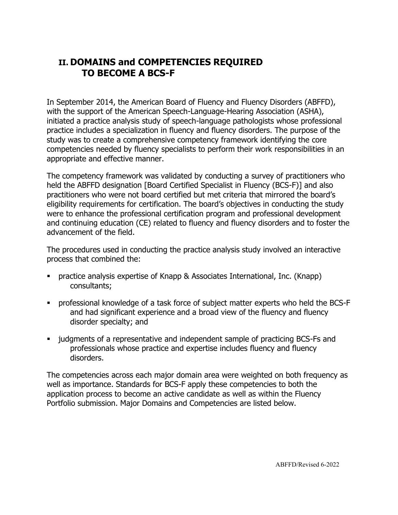# **II. DOMAINS and COMPETENCIES REQUIRED TO BECOME A BCS-F**

In September 2014, the American Board of Fluency and Fluency Disorders (ABFFD), with the support of the American Speech-Language-Hearing Association (ASHA), initiated a practice analysis study of speech-language pathologists whose professional practice includes a specialization in fluency and fluency disorders. The purpose of the study was to create a comprehensive competency framework identifying the core competencies needed by fluency specialists to perform their work responsibilities in an appropriate and effective manner.

The competency framework was validated by conducting a survey of practitioners who held the ABFFD designation [Board Certified Specialist in Fluency (BCS-F)] and also practitioners who were not board certified but met criteria that mirrored the board's eligibility requirements for certification. The board's objectives in conducting the study were to enhance the professional certification program and professional development and continuing education (CE) related to fluency and fluency disorders and to foster the advancement of the field.

The procedures used in conducting the practice analysis study involved an interactive process that combined the:

- practice analysis expertise of Knapp & Associates International, Inc. (Knapp) consultants;
- professional knowledge of a task force of subject matter experts who held the BCS-F and had significant experience and a broad view of the fluency and fluency disorder specialty; and
- judgments of a representative and independent sample of practicing BCS-Fs and professionals whose practice and expertise includes fluency and fluency disorders.

The competencies across each major domain area were weighted on both frequency as well as importance. Standards for BCS-F apply these competencies to both the application process to become an active candidate as well as within the Fluency Portfolio submission. Major Domains and Competencies are listed below.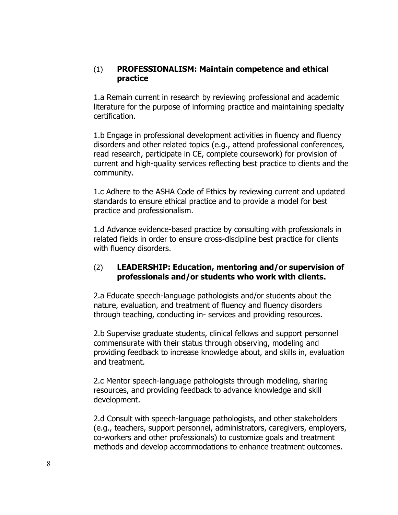#### (1) **PROFESSIONALISM: Maintain competence and ethical practice**

1.a Remain current in research by reviewing professional and academic literature for the purpose of informing practice and maintaining specialty certification.

1.b Engage in professional development activities in fluency and fluency disorders and other related topics (e.g., attend professional conferences, read research, participate in CE, complete coursework) for provision of current and high-quality services reflecting best practice to clients and the community.

1.c Adhere to the ASHA Code of Ethics by reviewing current and updated standards to ensure ethical practice and to provide a model for best practice and professionalism.

1.d Advance evidence-based practice by consulting with professionals in related fields in order to ensure cross-discipline best practice for clients with fluency disorders.

#### (2) **LEADERSHIP: Education, mentoring and/or supervision of professionals and/or students who work with clients.**

2.a Educate speech-language pathologists and/or students about the nature, evaluation, and treatment of fluency and fluency disorders through teaching, conducting in- services and providing resources.

2.b Supervise graduate students, clinical fellows and support personnel commensurate with their status through observing, modeling and providing feedback to increase knowledge about, and skills in, evaluation and treatment.

2.c Mentor speech-language pathologists through modeling, sharing resources, and providing feedback to advance knowledge and skill development.

2.d Consult with speech-language pathologists, and other stakeholders (e.g., teachers, support personnel, administrators, caregivers, employers, co-workers and other professionals) to customize goals and treatment methods and develop accommodations to enhance treatment outcomes.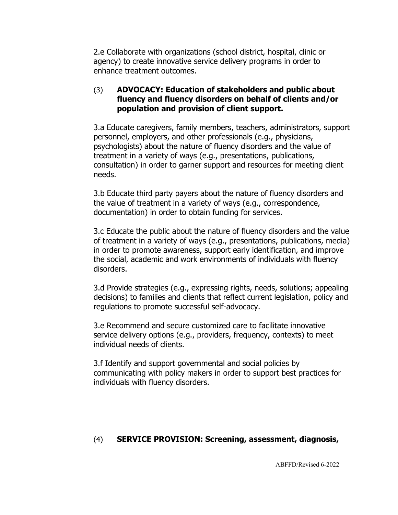2.e Collaborate with organizations (school district, hospital, clinic or agency) to create innovative service delivery programs in order to enhance treatment outcomes.

#### (3) **ADVOCACY: Education of stakeholders and public about fluency and fluency disorders on behalf of clients and/or population and provision of client support.**

3.a Educate caregivers, family members, teachers, administrators, support personnel, employers, and other professionals (e.g., physicians, psychologists) about the nature of fluency disorders and the value of treatment in a variety of ways (e.g., presentations, publications, consultation) in order to garner support and resources for meeting client needs.

3.b Educate third party payers about the nature of fluency disorders and the value of treatment in a variety of ways (e.g., correspondence, documentation) in order to obtain funding for services.

3.c Educate the public about the nature of fluency disorders and the value of treatment in a variety of ways (e.g., presentations, publications, media) in order to promote awareness, support early identification, and improve the social, academic and work environments of individuals with fluency disorders.

3.d Provide strategies (e.g., expressing rights, needs, solutions; appealing decisions) to families and clients that reflect current legislation, policy and regulations to promote successful self-advocacy.

3.e Recommend and secure customized care to facilitate innovative service delivery options (e.g., providers, frequency, contexts) to meet individual needs of clients.

3.f Identify and support governmental and social policies by communicating with policy makers in order to support best practices for individuals with fluency disorders.

### (4) **SERVICE PROVISION: Screening, assessment, diagnosis,**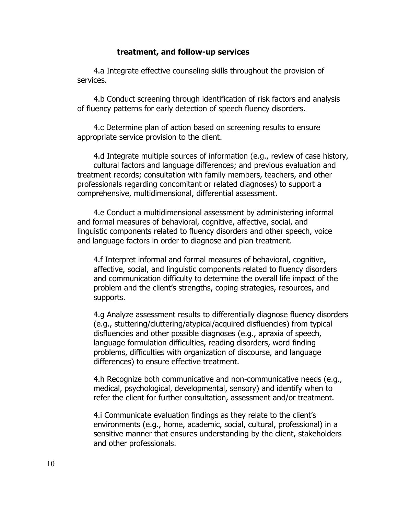#### **treatment, and follow-up services**

 4.a Integrate effective counseling skills throughout the provision of services.

4.b Conduct screening through identification of risk factors and analysis of fluency patterns for early detection of speech fluency disorders.

4.c Determine plan of action based on screening results to ensure appropriate service provision to the client.

4.d Integrate multiple sources of information (e.g., review of case history, cultural factors and language differences; and previous evaluation and treatment records; consultation with family members, teachers, and other professionals regarding concomitant or related diagnoses) to support a comprehensive, multidimensional, differential assessment.

4.e Conduct a multidimensional assessment by administering informal and formal measures of behavioral, cognitive, affective, social, and linguistic components related to fluency disorders and other speech, voice and language factors in order to diagnose and plan treatment.

4.f Interpret informal and formal measures of behavioral, cognitive, affective, social, and linguistic components related to fluency disorders and communication difficulty to determine the overall life impact of the problem and the client's strengths, coping strategies, resources, and supports.

4.g Analyze assessment results to differentially diagnose fluency disorders (e.g., stuttering/cluttering/atypical/acquired disfluencies) from typical disfluencies and other possible diagnoses (e.g., apraxia of speech, language formulation difficulties, reading disorders, word finding problems, difficulties with organization of discourse, and language differences) to ensure effective treatment.

4.h Recognize both communicative and non-communicative needs (e.g., medical, psychological, developmental, sensory) and identify when to refer the client for further consultation, assessment and/or treatment.

4.i Communicate evaluation findings as they relate to the client's environments (e.g., home, academic, social, cultural, professional) in a sensitive manner that ensures understanding by the client, stakeholders and other professionals.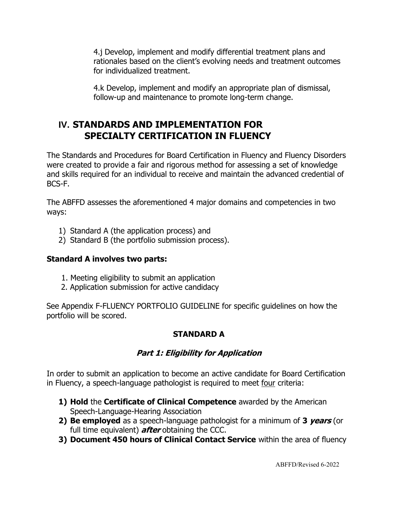4.j Develop, implement and modify differential treatment plans and rationales based on the client's evolving needs and treatment outcomes for individualized treatment.

4.k Develop, implement and modify an appropriate plan of dismissal, follow-up and maintenance to promote long-term change.

# **IV. STANDARDS AND IMPLEMENTATION FOR SPECIALTY CERTIFICATION IN FLUENCY**

The Standards and Procedures for Board Certification in Fluency and Fluency Disorders were created to provide a fair and rigorous method for assessing a set of knowledge and skills required for an individual to receive and maintain the advanced credential of BCS-F.

The ABFFD assesses the aforementioned 4 major domains and competencies in two ways:

- 1) Standard A (the application process) and
- 2) Standard B (the portfolio submission process).

### **Standard A involves two parts:**

- 1. Meeting eligibility to submit an application
- 2. Application submission for active candidacy

See Appendix F-FLUENCY PORTFOLIO GUIDELINE for specific guidelines on how the portfolio will be scored.

### **STANDARD A**

### **Part 1: Eligibility for Application**

In order to submit an application to become an active candidate for Board Certification in Fluency, a speech-language pathologist is required to meet four criteria:

- **1) Hold** the **Certificate of Clinical Competence** awarded by the American Speech-Language-Hearing Association
- **2) Be employed** as a speech-language pathologist for a minimum of **3 years** (or full time equivalent) **after** obtaining the CCC.
- **3) Document 450 hours of Clinical Contact Service** within the area of fluency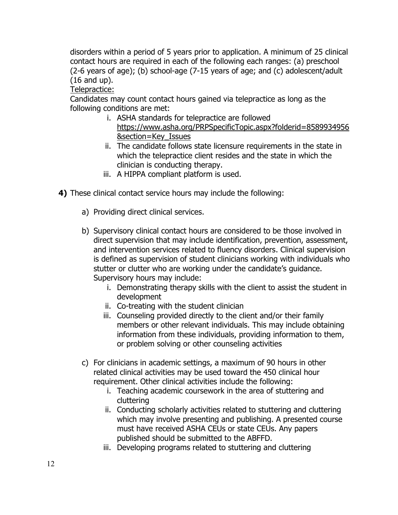disorders within a period of 5 years prior to application. A minimum of 25 clinical contact hours are required in each of the following each ranges: (a) preschool (2-6 years of age); (b) school-age (7-15 years of age; and (c) adolescent/adult (16 and up).

Telepractice:

Candidates may count contact hours gained via telepractice as long as the following conditions are met:

- i. ASHA standards for telepractice are followed [https://www.asha.org/PRPSpecificTopic.aspx?folderid=8589934956](https://www.asha.org/PRPSpecificTopic.aspx?folderid=8589934956§ion=Key_Issues) [&section=Key\\_Issues](https://www.asha.org/PRPSpecificTopic.aspx?folderid=8589934956§ion=Key_Issues)
- ii. The candidate follows state licensure requirements in the state in which the telepractice client resides and the state in which the clinician is conducting therapy.
- iii. A HIPPA compliant platform is used.
- **4)** These clinical contact service hours may include the following:
	- a) Providing direct clinical services.
	- b) Supervisory clinical contact hours are considered to be those involved in direct supervision that may include identification, prevention, assessment, and intervention services related to fluency disorders. Clinical supervision is defined as supervision of student clinicians working with individuals who stutter or clutter who are working under the candidate's guidance. Supervisory hours may include:
		- i. Demonstrating therapy skills with the client to assist the student in development
		- ii. Co-treating with the student clinician
		- iii. Counseling provided directly to the client and/or their family members or other relevant individuals. This may include obtaining information from these individuals, providing information to them, or problem solving or other counseling activities
	- c) For clinicians in academic settings, a maximum of 90 hours in other related clinical activities may be used toward the 450 clinical hour requirement. Other clinical activities include the following:
		- i. Teaching academic coursework in the area of stuttering and cluttering
		- ii. Conducting scholarly activities related to stuttering and cluttering which may involve presenting and publishing. A presented course must have received ASHA CEUs or state CEUs. Any papers published should be submitted to the ABFFD.
		- iii. Developing programs related to stuttering and cluttering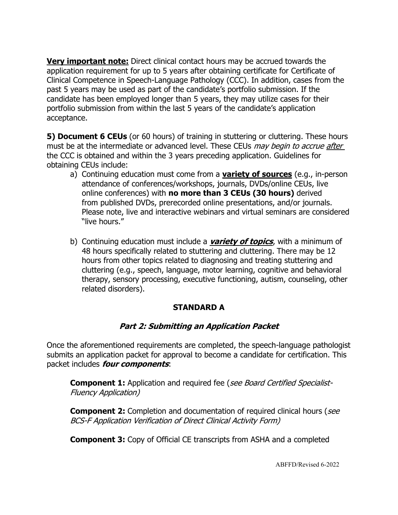**Very important note:** Direct clinical contact hours may be accrued towards the application requirement for up to 5 years after obtaining certificate for Certificate of Clinical Competence in Speech-Language Pathology (CCC). In addition, cases from the past 5 years may be used as part of the candidate's portfolio submission. If the candidate has been employed longer than 5 years, they may utilize cases for their portfolio submission from within the last 5 years of the candidate's application acceptance.

**5) Document 6 CEUs** (or 60 hours) of training in stuttering or cluttering. These hours must be at the intermediate or advanced level. These CEUs *may begin to accrue after* the CCC is obtained and within the 3 years preceding application. Guidelines for obtaining CEUs include:

- a) Continuing education must come from a **variety of sources** (e.g., in-person attendance of conferences/workshops, journals, DVDs/online CEUs, live online conferences) with **no more than 3 CEUs (30 hours)** derived from published DVDs, prerecorded online presentations, and/or journals. Please note, live and interactive webinars and virtual seminars are considered "live hours."
- b) Continuing education must include a **variety of topics**, with a minimum of 48 hours specifically related to stuttering and cluttering. There may be 12 hours from other topics related to diagnosing and treating stuttering and cluttering (e.g., speech, language, motor learning, cognitive and behavioral therapy, sensory processing, executive functioning, autism, counseling, other related disorders).

### **STANDARD A**

### **Part 2: Submitting an Application Packet**

Once the aforementioned requirements are completed, the speech-language pathologist submits an application packet for approval to become a candidate for certification. This packet includes **four components**:

**Component 1:** Application and required fee (see Board Certified Specialist-Fluency Application)

**Component 2:** Completion and documentation of required clinical hours (see BCS-F Application Verification of Direct Clinical Activity Form)

**Component 3:** Copy of Official CE transcripts from ASHA and a completed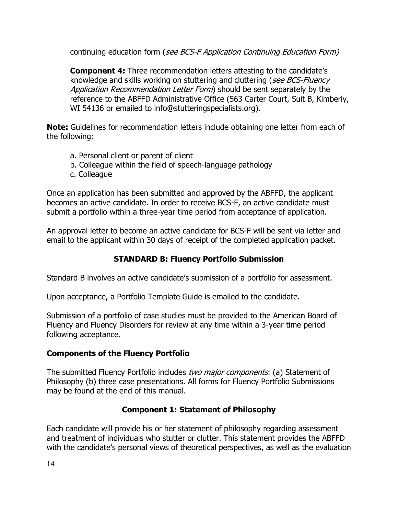continuing education form (see BCS-F Application Continuing Education Form)

**Component 4:** Three recommendation letters attesting to the candidate's knowledge and skills working on stuttering and cluttering (see BCS-Fluency Application Recommendation Letter Form) should be sent separately by the reference to the ABFFD Administrative Office (563 Carter Court, Suit B, Kimberly, WI 54136 or emailed to info@stutteringspecialists.org).

**Note:** Guidelines for recommendation letters include obtaining one letter from each of the following:

- a. Personal client or parent of client
- b. Colleague within the field of speech-language pathology
- c. Colleague

Once an application has been submitted and approved by the ABFFD, the applicant becomes an active candidate. In order to receive BCS-F, an active candidate must submit a portfolio within a three-year time period from acceptance of application.

An approval letter to become an active candidate for BCS-F will be sent via letter and email to the applicant within 30 days of receipt of the completed application packet.

### **STANDARD B: Fluency Portfolio Submission**

Standard B involves an active candidate's submission of a portfolio for assessment.

Upon acceptance, a Portfolio Template Guide is emailed to the candidate.

Submission of a portfolio of case studies must be provided to the American Board of Fluency and Fluency Disorders for review at any time within a 3-year time period following acceptance.

# **Components of the Fluency Portfolio**

The submitted Fluency Portfolio includes two major components: (a) Statement of Philosophy (b) three case presentations. All forms for Fluency Portfolio Submissions may be found at the end of this manual.

# **Component 1: Statement of Philosophy**

Each candidate will provide his or her statement of philosophy regarding assessment and treatment of individuals who stutter or clutter. This statement provides the ABFFD with the candidate's personal views of theoretical perspectives, as well as the evaluation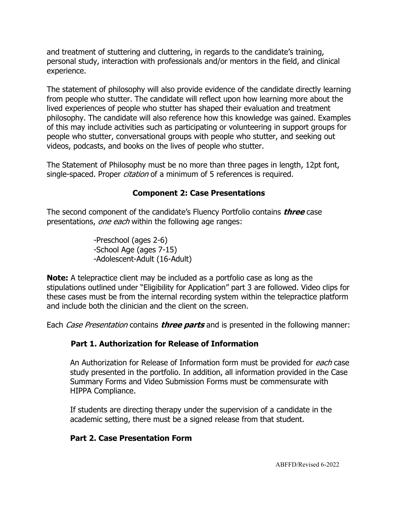and treatment of stuttering and cluttering, in regards to the candidate's training, personal study, interaction with professionals and/or mentors in the field, and clinical experience.

The statement of philosophy will also provide evidence of the candidate directly learning from people who stutter. The candidate will reflect upon how learning more about the lived experiences of people who stutter has shaped their evaluation and treatment philosophy. The candidate will also reference how this knowledge was gained. Examples of this may include activities such as participating or volunteering in support groups for people who stutter, conversational groups with people who stutter, and seeking out videos, podcasts, and books on the lives of people who stutter.

The Statement of Philosophy must be no more than three pages in length, 12pt font, single-spaced. Proper *citation* of a minimum of 5 references is required.

### **Component 2: Case Presentations**

The second component of the candidate's Fluency Portfolio contains **three** case presentations, one each within the following age ranges:

> -Preschool (ages 2-6) -School Age (ages 7-15) -Adolescent-Adult (16-Adult)

**Note:** A telepractice client may be included as a portfolio case as long as the stipulations outlined under "Eligibility for Application" part 3 are followed. Video clips for these cases must be from the internal recording system within the telepractice platform and include both the clinician and the client on the screen.

Each Case Presentation contains **three parts** and is presented in the following manner:

### **Part 1. Authorization for Release of Information**

An Authorization for Release of Information form must be provided for *each* case study presented in the portfolio. In addition, all information provided in the Case Summary Forms and Video Submission Forms must be commensurate with HIPPA Compliance.

If students are directing therapy under the supervision of a candidate in the academic setting, there must be a signed release from that student.

#### **Part 2. Case Presentation Form**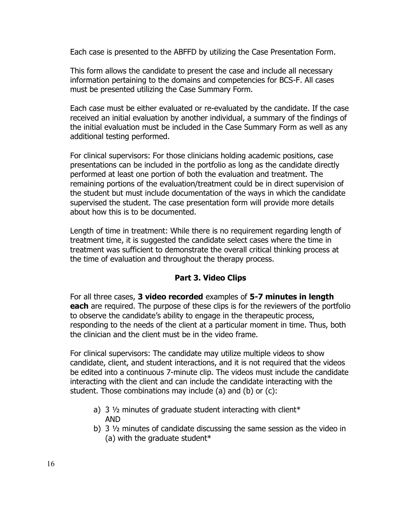Each case is presented to the ABFFD by utilizing the Case Presentation Form.

This form allows the candidate to present the case and include all necessary information pertaining to the domains and competencies for BCS-F. All cases must be presented utilizing the Case Summary Form.

Each case must be either evaluated or re-evaluated by the candidate. If the case received an initial evaluation by another individual, a summary of the findings of the initial evaluation must be included in the Case Summary Form as well as any additional testing performed.

For clinical supervisors: For those clinicians holding academic positions, case presentations can be included in the portfolio as long as the candidate directly performed at least one portion of both the evaluation and treatment. The remaining portions of the evaluation/treatment could be in direct supervision of the student but must include documentation of the ways in which the candidate supervised the student. The case presentation form will provide more details about how this is to be documented.

Length of time in treatment: While there is no requirement regarding length of treatment time, it is suggested the candidate select cases where the time in treatment was sufficient to demonstrate the overall critical thinking process at the time of evaluation and throughout the therapy process.

#### **Part 3. Video Clips**

For all three cases, **3 video recorded** examples of **5-7 minutes in length each** are required. The purpose of these clips is for the reviewers of the portfolio to observe the candidate's ability to engage in the therapeutic process, responding to the needs of the client at a particular moment in time. Thus, both the clinician and the client must be in the video frame.

For clinical supervisors: The candidate may utilize multiple videos to show candidate, client, and student interactions, and it is not required that the videos be edited into a continuous 7-minute clip. The videos must include the candidate interacting with the client and can include the candidate interacting with the student. Those combinations may include (a) and (b) or (c):

- a) 3  $\frac{1}{2}$  minutes of graduate student interacting with client\* AND
- b) 3 ½ minutes of candidate discussing the same session as the video in (a) with the graduate student $*$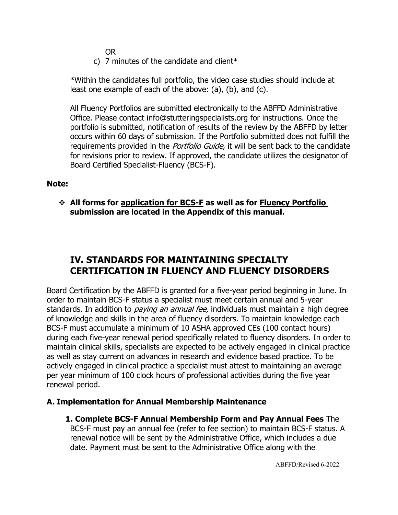OR

c) 7 minutes of the candidate and client\*

\*Within the candidates full portfolio, the video case studies should include at least one example of each of the above: (a), (b), and (c).

All Fluency Portfolios are submitted electronically to the ABFFD Administrative Office. Please contact info@stutteringspecialists.org for instructions. Once the portfolio is submitted, notification of results of the review by the ABFFD by letter occurs within 60 days of submission. If the Portfolio submitted does not fulfill the requirements provided in the Portfolio Guide, it will be sent back to the candidate for revisions prior to review. If approved, the candidate utilizes the designator of Board Certified Specialist-Fluency (BCS-F).

#### **Note:**

❖ **All forms for application for BCS-F as well as for Fluency Portfolio submission are located in the Appendix of this manual.**

# **IV. STANDARDS FOR MAINTAINING SPECIALTY CERTIFICATION IN FLUENCY AND FLUENCY DISORDERS**

Board Certification by the ABFFD is granted for a five-year period beginning in June. In order to maintain BCS-F status a specialist must meet certain annual and 5-year standards. In addition to *paying an annual fee*, individuals must maintain a high degree of knowledge and skills in the area of fluency disorders. To maintain knowledge each BCS-F must accumulate a minimum of 10 ASHA approved CEs (100 contact hours) during each five-year renewal period specifically related to fluency disorders. In order to maintain clinical skills, specialists are expected to be actively engaged in clinical practice as well as stay current on advances in research and evidence based practice. To be actively engaged in clinical practice a specialist must attest to maintaining an average per year minimum of 100 clock hours of professional activities during the five year renewal period.

#### **A. Implementation for Annual Membership Maintenance**

**1. Complete BCS-F Annual Membership Form and Pay Annual Fees** The BCS-F must pay an annual fee (refer to fee section) to maintain BCS-F status. A renewal notice will be sent by the Administrative Office, which includes a due date. Payment must be sent to the Administrative Office along with the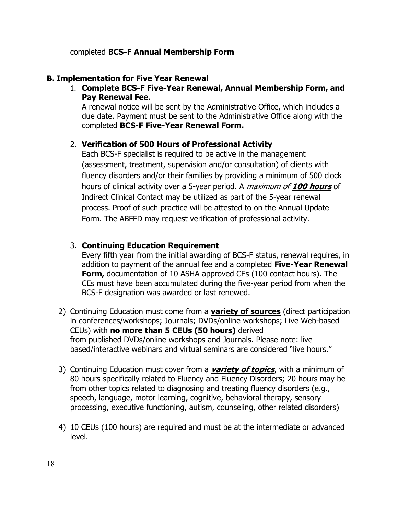#### completed **BCS-F Annual Membership Form**

#### **B. Implementation for Five Year Renewal**

1. **Complete BCS-F Five-Year Renewal, Annual Membership Form, and Pay Renewal Fee.**

A renewal notice will be sent by the Administrative Office, which includes a due date. Payment must be sent to the Administrative Office along with the completed **BCS-F Five-Year Renewal Form.** 

#### 2. **Verification of 500 Hours of Professional Activity**

Each BCS-F specialist is required to be active in the management (assessment, treatment, supervision and/or consultation) of clients with fluency disorders and/or their families by providing a minimum of 500 clock hours of clinical activity over a 5-year period. A maximum of **100 hours** of Indirect Clinical Contact may be utilized as part of the 5-year renewal process. Proof of such practice will be attested to on the Annual Update Form. The ABFFD may request verification of professional activity.

#### 3. **Continuing Education Requirement**

Every fifth year from the initial awarding of BCS-F status, renewal requires, in addition to payment of the annual fee and a completed **Five-Year Renewal Form,** documentation of 10 ASHA approved CEs (100 contact hours). The CEs must have been accumulated during the five-year period from when the BCS-F designation was awarded or last renewed.

- 2) Continuing Education must come from a **variety of sources** (direct participation in conferences/workshops; Journals; DVDs/online workshops; Live Web-based CEUs) with **no more than 5 CEUs (50 hours)** derived from published DVDs/online workshops and Journals. Please note: live based/interactive webinars and virtual seminars are considered "live hours."
- 3) Continuing Education must cover from a **variety of topics**, with a minimum of 80 hours specifically related to Fluency and Fluency Disorders; 20 hours may be from other topics related to diagnosing and treating fluency disorders (e.g., speech, language, motor learning, cognitive, behavioral therapy, sensory processing, executive functioning, autism, counseling, other related disorders)
- 4) 10 CEUs (100 hours) are required and must be at the intermediate or advanced level.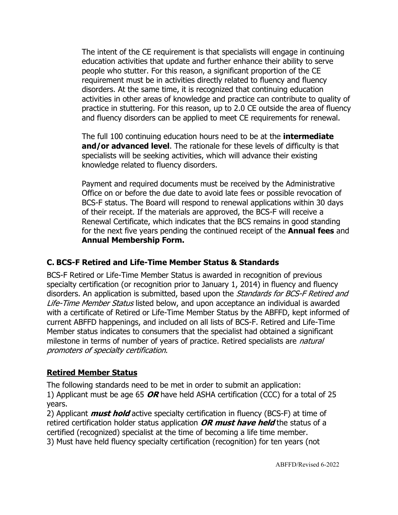The intent of the CE requirement is that specialists will engage in continuing education activities that update and further enhance their ability to serve people who stutter. For this reason, a significant proportion of the CE requirement must be in activities directly related to fluency and fluency disorders. At the same time, it is recognized that continuing education activities in other areas of knowledge and practice can contribute to quality of practice in stuttering. For this reason, up to 2.0 CE outside the area of fluency and fluency disorders can be applied to meet CE requirements for renewal.

The full 100 continuing education hours need to be at the **intermediate and/or advanced level**. The rationale for these levels of difficulty is that specialists will be seeking activities, which will advance their existing knowledge related to fluency disorders.

Payment and required documents must be received by the Administrative Office on or before the due date to avoid late fees or possible revocation of BCS-F status. The Board will respond to renewal applications within 30 days of their receipt. If the materials are approved, the BCS-F will receive a Renewal Certificate, which indicates that the BCS remains in good standing for the next five years pending the continued receipt of the **Annual fees** and **Annual Membership Form.**

### **C. BCS-F Retired and Life-Time Member Status & Standards**

BCS-F Retired or Life-Time Member Status is awarded in recognition of previous specialty certification (or recognition prior to January 1, 2014) in fluency and fluency disorders. An application is submitted, based upon the *Standards for BCS-F Retired and* Life-Time Member Status listed below, and upon acceptance an individual is awarded with a certificate of Retired or Life-Time Member Status by the ABFFD, kept informed of current ABFFD happenings, and included on all lists of BCS-F. Retired and Life-Time Member status indicates to consumers that the specialist had obtained a significant milestone in terms of number of years of practice. Retired specialists are *natural* promoters of specialty certification.

### **Retired Member Status**

The following standards need to be met in order to submit an application: 1) Applicant must be age 65 **OR** have held ASHA certification (CCC) for a total of 25 years.

2) Applicant **must hold** active specialty certification in fluency (BCS-F) at time of retired certification holder status application **OR must have held** the status of a certified (recognized) specialist at the time of becoming a life time member.

3) Must have held fluency specialty certification (recognition) for ten years (not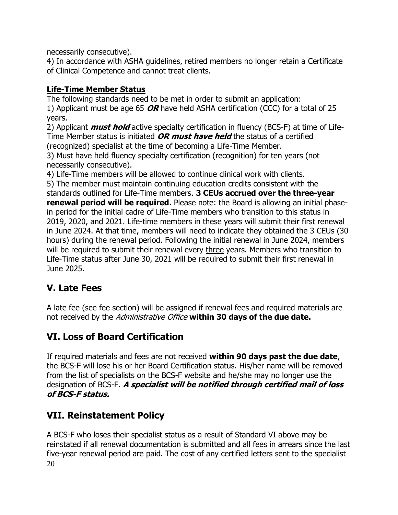necessarily consecutive).

4) In accordance with ASHA guidelines, retired members no longer retain a Certificate of Clinical Competence and cannot treat clients.

### **Life-Time Member Status**

The following standards need to be met in order to submit an application: 1) Applicant must be age 65 **OR** have held ASHA certification (CCC) for a total of 25 years.

2) Applicant **must hold** active specialty certification in fluency (BCS-F) at time of Life-Time Member status is initiated **OR must have held** the status of a certified (recognized) specialist at the time of becoming a Life-Time Member.

3) Must have held fluency specialty certification (recognition) for ten years (not necessarily consecutive).

4) Life-Time members will be allowed to continue clinical work with clients.

5) The member must maintain continuing education credits consistent with the

standards outlined for Life-Time members. **3 CEUs accrued over the three-year renewal period will be required.** Please note: the Board is allowing an initial phasein period for the initial cadre of Life-Time members who transition to this status in 2019, 2020, and 2021. Life-time members in these years will submit their first renewal in June 2024. At that time, members will need to indicate they obtained the 3 CEUs (30 hours) during the renewal period. Following the initial renewal in June 2024, members will be required to submit their renewal every three years. Members who transition to Life-Time status after June 30, 2021 will be required to submit their first renewal in June 2025.

# **V. Late Fees**

A late fee (see fee section) will be assigned if renewal fees and required materials are not received by the Administrative Office **within 30 days of the due date.**

# **VI. Loss of Board Certification**

If required materials and fees are not received **within 90 days past the due date**, the BCS-F will lose his or her Board Certification status. His/her name will be removed from the list of specialists on the BCS-F website and he/she may no longer use the designation of BCS-F. **A specialist will be notified through certified mail of loss of BCS-F status.**

# **VII. Reinstatement Policy**

20 A BCS-F who loses their specialist status as a result of Standard VI above may be reinstated if all renewal documentation is submitted and all fees in arrears since the last five-year renewal period are paid. The cost of any certified letters sent to the specialist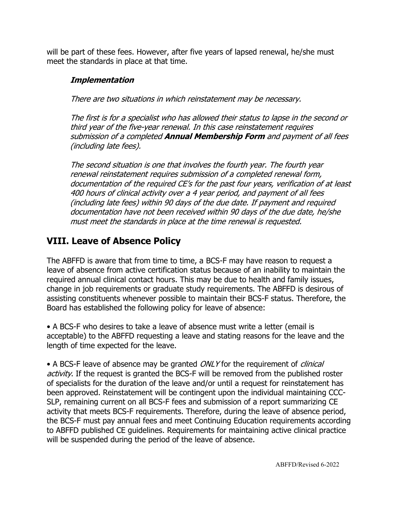will be part of these fees. However, after five years of lapsed renewal, he/she must meet the standards in place at that time.

### **Implementation**

There are two situations in which reinstatement may be necessary.

The first is for a specialist who has allowed their status to lapse in the second or third year of the five-year renewal. In this case reinstatement requires submission of a completed **Annual Membership Form** and payment of all fees (including late fees).

The second situation is one that involves the fourth year. The fourth year renewal reinstatement requires submission of a completed renewal form, documentation of the required CE's for the past four years, verification of at least 400 hours of clinical activity over a 4 year period, and payment of all fees (including late fees) within 90 days of the due date. If payment and required documentation have not been received within 90 days of the due date, he/she must meet the standards in place at the time renewal is requested.

# **VIII. Leave of Absence Policy**

The ABFFD is aware that from time to time, a BCS-F may have reason to request a leave of absence from active certification status because of an inability to maintain the required annual clinical contact hours. This may be due to health and family issues, change in job requirements or graduate study requirements. The ABFFD is desirous of assisting constituents whenever possible to maintain their BCS-F status. Therefore, the Board has established the following policy for leave of absence:

• A BCS-F who desires to take a leave of absence must write a letter (email is acceptable) to the ABFFD requesting a leave and stating reasons for the leave and the length of time expected for the leave.

• A BCS-F leave of absence may be granted ONLY for the requirement of *clinical* activity. If the request is granted the BCS-F will be removed from the published roster of specialists for the duration of the leave and/or until a request for reinstatement has been approved. Reinstatement will be contingent upon the individual maintaining CCC-SLP, remaining current on all BCS-F fees and submission of a report summarizing CE activity that meets BCS-F requirements. Therefore, during the leave of absence period, the BCS-F must pay annual fees and meet Continuing Education requirements according to ABFFD published CE guidelines. Requirements for maintaining active clinical practice will be suspended during the period of the leave of absence.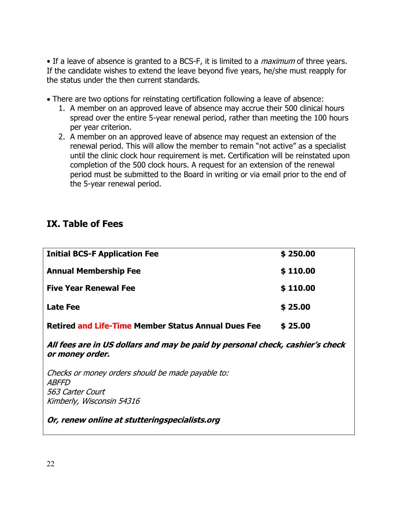• If a leave of absence is granted to a BCS-F, it is limited to a *maximum* of three years. If the candidate wishes to extend the leave beyond five years, he/she must reapply for the status under the then current standards.

- There are two options for reinstating certification following a leave of absence:
	- 1. A member on an approved leave of absence may accrue their 500 clinical hours spread over the entire 5-year renewal period, rather than meeting the 100 hours per year criterion.
	- 2. A member on an approved leave of absence may request an extension of the renewal period. This will allow the member to remain "not active" as a specialist until the clinic clock hour requirement is met. Certification will be reinstated upon completion of the 500 clock hours. A request for an extension of the renewal period must be submitted to the Board in writing or via email prior to the end of the 5-year renewal period.

# **IX. Table of Fees**

| <b>Initial BCS-F Application Fee</b>                                                                               | \$250.00 |  |
|--------------------------------------------------------------------------------------------------------------------|----------|--|
| <b>Annual Membership Fee</b>                                                                                       | \$110.00 |  |
| <b>Five Year Renewal Fee</b>                                                                                       | \$110.00 |  |
| Late Fee                                                                                                           | \$25.00  |  |
| <b>Retired and Life-Time Member Status Annual Dues Fee</b>                                                         | \$25.00  |  |
| All fees are in US dollars and may be paid by personal check, cashier's check<br>or money order.                   |          |  |
| Checks or money orders should be made payable to:<br><i>ABFFD</i><br>563 Carter Court<br>Kimberly, Wisconsin 54316 |          |  |
| Or, renew online at stutteringspecialists.org                                                                      |          |  |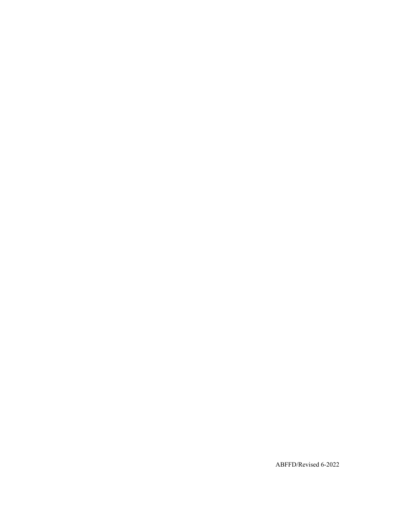ABFFD/Revised 6-2022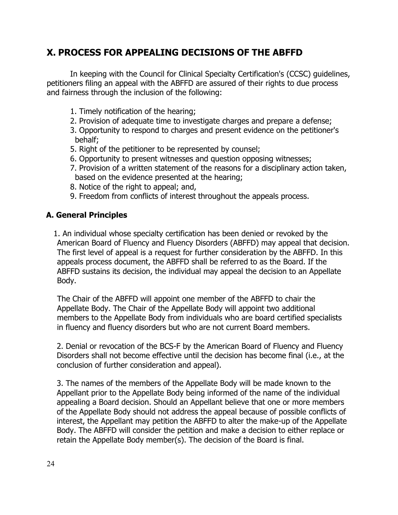# **X. PROCESS FOR APPEALING DECISIONS OF THE ABFFD**

In keeping with the Council for Clinical Specialty Certification's (CCSC) guidelines, petitioners filing an appeal with the ABFFD are assured of their rights to due process and fairness through the inclusion of the following:

- 1. Timely notification of the hearing;
- 2. Provision of adequate time to investigate charges and prepare a defense;
- 3. Opportunity to respond to charges and present evidence on the petitioner's behalf;
- 5. Right of the petitioner to be represented by counsel;
- 6. Opportunity to present witnesses and question opposing witnesses;
- 7. Provision of a written statement of the reasons for a disciplinary action taken, based on the evidence presented at the hearing;
- 8. Notice of the right to appeal; and,
- 9. Freedom from conflicts of interest throughout the appeals process.

#### **A. General Principles**

1. An individual whose specialty certification has been denied or revoked by the American Board of Fluency and Fluency Disorders (ABFFD) may appeal that decision. The first level of appeal is a request for further consideration by the ABFFD. In this appeals process document, the ABFFD shall be referred to as the Board. If the ABFFD sustains its decision, the individual may appeal the decision to an Appellate Body.

The Chair of the ABFFD will appoint one member of the ABFFD to chair the Appellate Body. The Chair of the Appellate Body will appoint two additional members to the Appellate Body from individuals who are board certified specialists in fluency and fluency disorders but who are not current Board members.

2. Denial or revocation of the BCS-F by the American Board of Fluency and Fluency Disorders shall not become effective until the decision has become final (i.e., at the conclusion of further consideration and appeal).

3. The names of the members of the Appellate Body will be made known to the Appellant prior to the Appellate Body being informed of the name of the individual appealing a Board decision. Should an Appellant believe that one or more members of the Appellate Body should not address the appeal because of possible conflicts of interest, the Appellant may petition the ABFFD to alter the make-up of the Appellate Body. The ABFFD will consider the petition and make a decision to either replace or retain the Appellate Body member(s). The decision of the Board is final.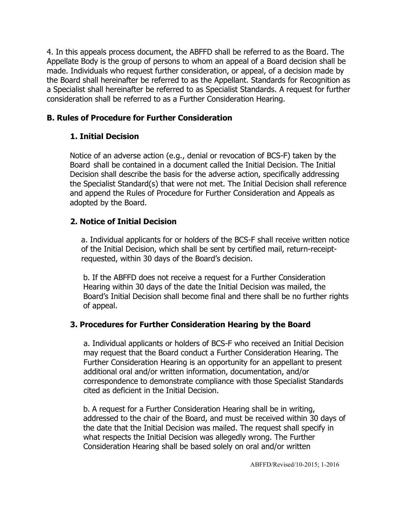4. In this appeals process document, the ABFFD shall be referred to as the Board. The Appellate Body is the group of persons to whom an appeal of a Board decision shall be made. Individuals who request further consideration, or appeal, of a decision made by the Board shall hereinafter be referred to as the Appellant. Standards for Recognition as a Specialist shall hereinafter be referred to as Specialist Standards. A request for further consideration shall be referred to as a Further Consideration Hearing.

### **B. Rules of Procedure for Further Consideration**

### **1. Initial Decision**

Notice of an adverse action (e.g., denial or revocation of BCS-F) taken by the Board shall be contained in a document called the Initial Decision. The Initial Decision shall describe the basis for the adverse action, specifically addressing the Specialist Standard(s) that were not met. The Initial Decision shall reference and append the Rules of Procedure for Further Consideration and Appeals as adopted by the Board.

### **2. Notice of Initial Decision**

a. Individual applicants for or holders of the BCS-F shall receive written notice of the Initial Decision, which shall be sent by certified mail, return-receiptrequested, within 30 days of the Board's decision.

b. If the ABFFD does not receive a request for a Further Consideration Hearing within 30 days of the date the Initial Decision was mailed, the Board's Initial Decision shall become final and there shall be no further rights of appeal.

### **3. Procedures for Further Consideration Hearing by the Board**

a. Individual applicants or holders of BCS-F who received an Initial Decision may request that the Board conduct a Further Consideration Hearing. The Further Consideration Hearing is an opportunity for an appellant to present additional oral and/or written information, documentation, and/or correspondence to demonstrate compliance with those Specialist Standards cited as deficient in the Initial Decision.

b. A request for a Further Consideration Hearing shall be in writing, addressed to the chair of the Board, and must be received within 30 days of the date that the Initial Decision was mailed. The request shall specify in what respects the Initial Decision was allegedly wrong. The Further Consideration Hearing shall be based solely on oral and/or written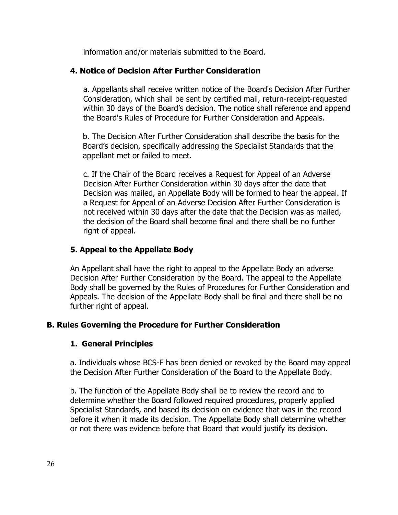information and/or materials submitted to the Board.

#### **4. Notice of Decision After Further Consideration**

a. Appellants shall receive written notice of the Board's Decision After Further Consideration, which shall be sent by certified mail, return-receipt-requested within 30 days of the Board's decision. The notice shall reference and append the Board's Rules of Procedure for Further Consideration and Appeals.

b. The Decision After Further Consideration shall describe the basis for the Board's decision, specifically addressing the Specialist Standards that the appellant met or failed to meet.

c. If the Chair of the Board receives a Request for Appeal of an Adverse Decision After Further Consideration within 30 days after the date that Decision was mailed, an Appellate Body will be formed to hear the appeal. If a Request for Appeal of an Adverse Decision After Further Consideration is not received within 30 days after the date that the Decision was as mailed, the decision of the Board shall become final and there shall be no further right of appeal.

### **5. Appeal to the Appellate Body**

An Appellant shall have the right to appeal to the Appellate Body an adverse Decision After Further Consideration by the Board. The appeal to the Appellate Body shall be governed by the Rules of Procedures for Further Consideration and Appeals. The decision of the Appellate Body shall be final and there shall be no further right of appeal.

#### **B. Rules Governing the Procedure for Further Consideration**

#### **1. General Principles**

a. Individuals whose BCS-F has been denied or revoked by the Board may appeal the Decision After Further Consideration of the Board to the Appellate Body.

b. The function of the Appellate Body shall be to review the record and to determine whether the Board followed required procedures, properly applied Specialist Standards, and based its decision on evidence that was in the record before it when it made its decision. The Appellate Body shall determine whether or not there was evidence before that Board that would justify its decision.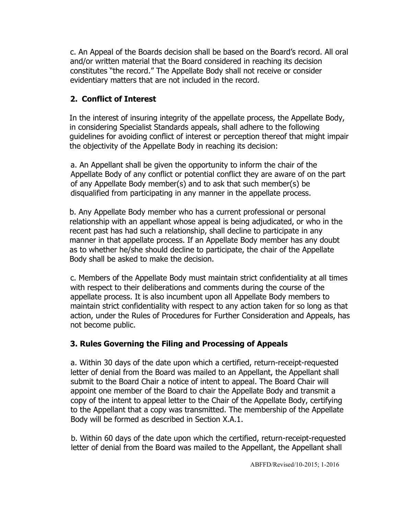c. An Appeal of the Boards decision shall be based on the Board's record. All oral and/or written material that the Board considered in reaching its decision constitutes "the record." The Appellate Body shall not receive or consider evidentiary matters that are not included in the record.

### **2. Conflict of Interest**

In the interest of insuring integrity of the appellate process, the Appellate Body, in considering Specialist Standards appeals, shall adhere to the following guidelines for avoiding conflict of interest or perception thereof that might impair the objectivity of the Appellate Body in reaching its decision:

a. An Appellant shall be given the opportunity to inform the chair of the Appellate Body of any conflict or potential conflict they are aware of on the part of any Appellate Body member(s) and to ask that such member(s) be disqualified from participating in any manner in the appellate process.

b. Any Appellate Body member who has a current professional or personal relationship with an appellant whose appeal is being adjudicated, or who in the recent past has had such a relationship, shall decline to participate in any manner in that appellate process. If an Appellate Body member has any doubt as to whether he/she should decline to participate, the chair of the Appellate Body shall be asked to make the decision.

c. Members of the Appellate Body must maintain strict confidentiality at all times with respect to their deliberations and comments during the course of the appellate process. It is also incumbent upon all Appellate Body members to maintain strict confidentiality with respect to any action taken for so long as that action, under the Rules of Procedures for Further Consideration and Appeals, has not become public.

### **3. Rules Governing the Filing and Processing of Appeals**

a. Within 30 days of the date upon which a certified, return-receipt-requested letter of denial from the Board was mailed to an Appellant, the Appellant shall submit to the Board Chair a notice of intent to appeal. The Board Chair will appoint one member of the Board to chair the Appellate Body and transmit a copy of the intent to appeal letter to the Chair of the Appellate Body, certifying to the Appellant that a copy was transmitted. The membership of the Appellate Body will be formed as described in Section X.A.1.

b. Within 60 days of the date upon which the certified, return-receipt-requested letter of denial from the Board was mailed to the Appellant, the Appellant shall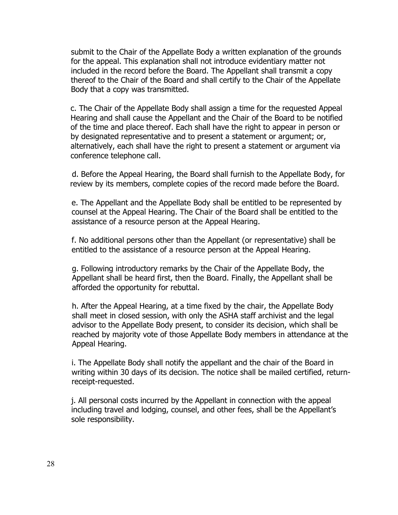submit to the Chair of the Appellate Body a written explanation of the grounds for the appeal. This explanation shall not introduce evidentiary matter not included in the record before the Board. The Appellant shall transmit a copy thereof to the Chair of the Board and shall certify to the Chair of the Appellate Body that a copy was transmitted.

c. The Chair of the Appellate Body shall assign a time for the requested Appeal Hearing and shall cause the Appellant and the Chair of the Board to be notified of the time and place thereof. Each shall have the right to appear in person or by designated representative and to present a statement or argument; or, alternatively, each shall have the right to present a statement or argument via conference telephone call.

d. Before the Appeal Hearing, the Board shall furnish to the Appellate Body, for review by its members, complete copies of the record made before the Board.

e. The Appellant and the Appellate Body shall be entitled to be represented by counsel at the Appeal Hearing. The Chair of the Board shall be entitled to the assistance of a resource person at the Appeal Hearing.

f. No additional persons other than the Appellant (or representative) shall be entitled to the assistance of a resource person at the Appeal Hearing.

g. Following introductory remarks by the Chair of the Appellate Body, the Appellant shall be heard first, then the Board. Finally, the Appellant shall be afforded the opportunity for rebuttal.

h. After the Appeal Hearing, at a time fixed by the chair, the Appellate Body shall meet in closed session, with only the ASHA staff archivist and the legal advisor to the Appellate Body present, to consider its decision, which shall be reached by majority vote of those Appellate Body members in attendance at the Appeal Hearing.

i. The Appellate Body shall notify the appellant and the chair of the Board in writing within 30 days of its decision. The notice shall be mailed certified, returnreceipt-requested.

j. All personal costs incurred by the Appellant in connection with the appeal including travel and lodging, counsel, and other fees, shall be the Appellant's sole responsibility.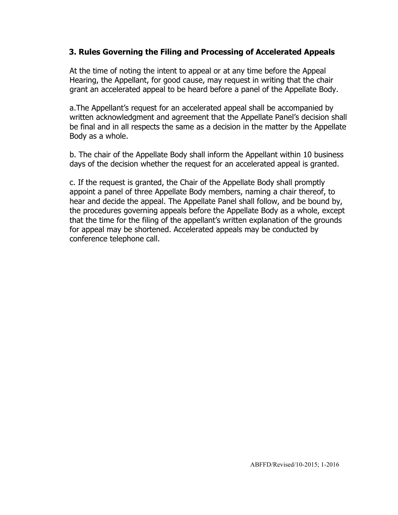#### **3. Rules Governing the Filing and Processing of Accelerated Appeals**

At the time of noting the intent to appeal or at any time before the Appeal Hearing, the Appellant, for good cause, may request in writing that the chair grant an accelerated appeal to be heard before a panel of the Appellate Body.

a.The Appellant's request for an accelerated appeal shall be accompanied by written acknowledgment and agreement that the Appellate Panel's decision shall be final and in all respects the same as a decision in the matter by the Appellate Body as a whole.

b. The chair of the Appellate Body shall inform the Appellant within 10 business days of the decision whether the request for an accelerated appeal is granted.

c. If the request is granted, the Chair of the Appellate Body shall promptly appoint a panel of three Appellate Body members, naming a chair thereof, to hear and decide the appeal. The Appellate Panel shall follow, and be bound by, the procedures governing appeals before the Appellate Body as a whole, except that the time for the filing of the appellant's written explanation of the grounds for appeal may be shortened. Accelerated appeals may be conducted by conference telephone call.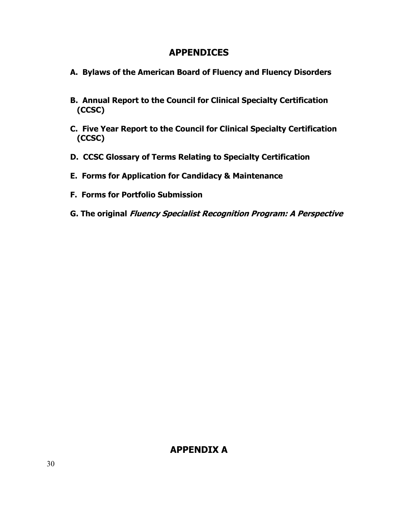### **APPENDICES**

- **A. Bylaws of the American Board of Fluency and Fluency Disorders**
- **B. Annual Report to the Council for Clinical Specialty Certification (CCSC)**
- **C. Five Year Report to the Council for Clinical Specialty Certification (CCSC)**
- **D. CCSC Glossary of Terms Relating to Specialty Certification**
- **E. Forms for Application for Candidacy & Maintenance**
- **F. Forms for Portfolio Submission**
- **G. The original Fluency Specialist Recognition Program: A Perspective**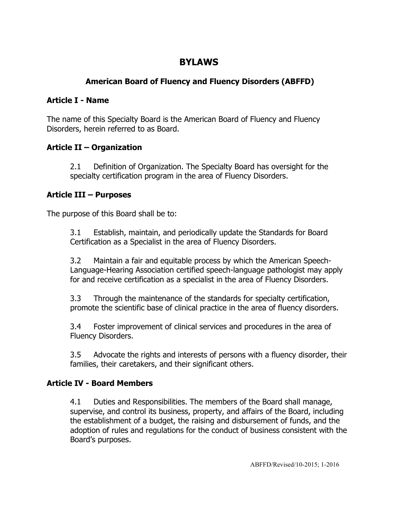# **BYLAWS**

### **American Board of Fluency and Fluency Disorders (ABFFD)**

### **Article I - Name**

The name of this Specialty Board is the American Board of Fluency and Fluency Disorders, herein referred to as Board.

### **Article II – Organization**

2.1 Definition of Organization. The Specialty Board has oversight for the specialty certification program in the area of Fluency Disorders.

### **Article III – Purposes**

The purpose of this Board shall be to:

3.1 Establish, maintain, and periodically update the Standards for Board Certification as a Specialist in the area of Fluency Disorders.

3.2 Maintain a fair and equitable process by which the American Speech-Language-Hearing Association certified speech-language pathologist may apply for and receive certification as a specialist in the area of Fluency Disorders.

3.3 Through the maintenance of the standards for specialty certification, promote the scientific base of clinical practice in the area of fluency disorders.

3.4 Foster improvement of clinical services and procedures in the area of Fluency Disorders.

3.5 Advocate the rights and interests of persons with a fluency disorder, their families, their caretakers, and their significant others.

### **Article IV - Board Members**

4.1 Duties and Responsibilities. The members of the Board shall manage, supervise, and control its business, property, and affairs of the Board, including the establishment of a budget, the raising and disbursement of funds, and the adoption of rules and regulations for the conduct of business consistent with the Board's purposes.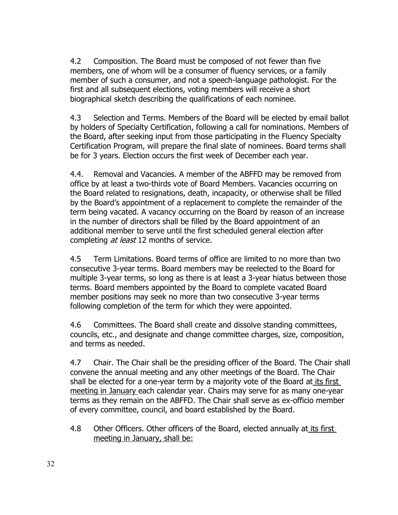4.2 Composition. The Board must be composed of not fewer than five members, one of whom will be a consumer of fluency services, or a family member of such a consumer, and not a speech-language pathologist. For the first and all subsequent elections, voting members will receive a short biographical sketch describing the qualifications of each nominee.

4.3 Selection and Terms. Members of the Board will be elected by email ballot by holders of Specialty Certification, following a call for nominations. Members of the Board, after seeking input from those participating in the Fluency Specialty Certification Program, will prepare the final slate of nominees. Board terms shall be for 3 years. Election occurs the first week of December each year.

4.4. Removal and Vacancies. A member of the ABFFD may be removed from office by at least a two-thirds vote of Board Members. Vacancies occurring on the Board related to resignations, death, incapacity, or otherwise shall be filled by the Board's appointment of a replacement to complete the remainder of the term being vacated. A vacancy occurring on the Board by reason of an increase in the number of directors shall be filled by the Board appointment of an additional member to serve until the first scheduled general election after completing *at least* 12 months of service.

4.5 Term Limitations. Board terms of office are limited to no more than two consecutive 3-year terms. Board members may be reelected to the Board for multiple 3-year terms, so long as there is at least a 3-year hiatus between those terms. Board members appointed by the Board to complete vacated Board member positions may seek no more than two consecutive 3-year terms following completion of the term for which they were appointed.

4.6 Committees. The Board shall create and dissolve standing committees, councils, etc., and designate and change committee charges, size, composition, and terms as needed.

4.7 Chair. The Chair shall be the presiding officer of the Board. The Chair shall convene the annual meeting and any other meetings of the Board. The Chair shall be elected for a one-year term by a majority vote of the Board at its first meeting in January each calendar year. Chairs may serve for as many one-year terms as they remain on the ABFFD. The Chair shall serve as ex-officio member of every committee, council, and board established by the Board.

4.8 Other Officers. Other officers of the Board, elected annually at its first meeting in January, shall be: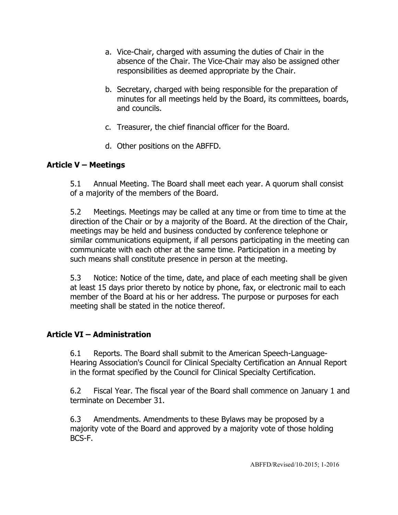- a. Vice-Chair, charged with assuming the duties of Chair in the absence of the Chair. The Vice-Chair may also be assigned other responsibilities as deemed appropriate by the Chair.
- b. Secretary, charged with being responsible for the preparation of minutes for all meetings held by the Board, its committees, boards, and councils.
- c. Treasurer, the chief financial officer for the Board.
- d. Other positions on the ABFFD.

### **Article V – Meetings**

5.1 Annual Meeting. The Board shall meet each year. A quorum shall consist of a majority of the members of the Board.

5.2 Meetings. Meetings may be called at any time or from time to time at the direction of the Chair or by a majority of the Board. At the direction of the Chair, meetings may be held and business conducted by conference telephone or similar communications equipment, if all persons participating in the meeting can communicate with each other at the same time. Participation in a meeting by such means shall constitute presence in person at the meeting.

5.3 Notice: Notice of the time, date, and place of each meeting shall be given at least 15 days prior thereto by notice by phone, fax, or electronic mail to each member of the Board at his or her address. The purpose or purposes for each meeting shall be stated in the notice thereof.

# **Article VI – Administration**

6.1 Reports. The Board shall submit to the American Speech-Language-Hearing Association's Council for Clinical Specialty Certification an Annual Report in the format specified by the Council for Clinical Specialty Certification.

6.2 Fiscal Year. The fiscal year of the Board shall commence on January 1 and terminate on December 31.

6.3 Amendments. Amendments to these Bylaws may be proposed by a majority vote of the Board and approved by a majority vote of those holding BCS-F.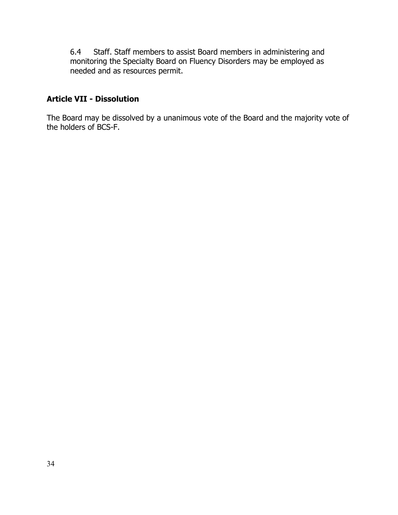6.4 Staff. Staff members to assist Board members in administering and monitoring the Specialty Board on Fluency Disorders may be employed as needed and as resources permit.

#### **Article VII - Dissolution**

The Board may be dissolved by a unanimous vote of the Board and the majority vote of the holders of BCS-F.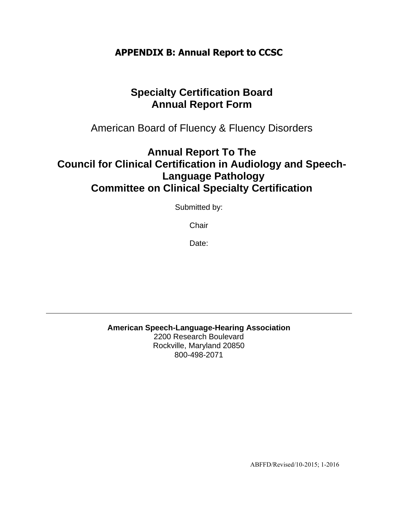# **APPENDIX B: Annual Report to CCSC**

# **Specialty Certification Board Annual Report Form**

American Board of Fluency & Fluency Disorders

# **Annual Report To The Council for Clinical Certification in Audiology and Speech-Language Pathology Committee on Clinical Specialty Certification**

Submitted by:

**Chair** 

Date:

**American Speech-Language-Hearing Association** 2200 Research Boulevard Rockville, Maryland 20850 800-498-2071

ABFFD/Revised/10-2015; 1-2016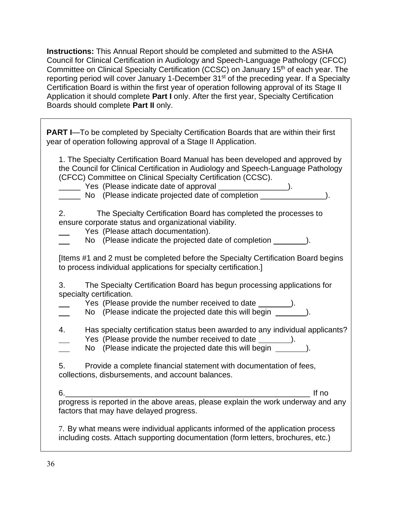**Instructions:** This Annual Report should be completed and submitted to the ASHA Council for Clinical Certification in Audiology and Speech-Language Pathology (CFCC) Committee on Clinical Specialty Certification (CCSC) on January 15<sup>th</sup> of each year. The reporting period will cover January 1-December 31<sup>st</sup> of the preceding year. If a Specialty Certification Board is within the first year of operation following approval of its Stage II Application it should complete **Part I** only. After the first year, Specialty Certification Boards should complete **Part II** only.

**PART I**—To be completed by Specialty Certification Boards that are within their first year of operation following approval of a Stage II Application.

1. The Specialty Certification Board Manual has been developed and approved by the Council for Clinical Certification in Audiology and Speech-Language Pathology (CFCC) Committee on Clinical Specialty Certification (CCSC).

\_\_\_\_\_ Yes (Please indicate date of approval \_\_\_\_\_\_\_\_\_\_\_\_\_\_\_\_). \_\_\_\_\_ No (Please indicate projected date of completion \_\_\_\_\_\_\_\_\_\_\_\_\_\_\_).

2. The Specialty Certification Board has completed the processes to ensure corporate status and organizational viability.

Yes (Please attach documentation).

No (Please indicate the projected date of completion ).

[Items #1 and 2 must be completed before the Specialty Certification Board begins to process individual applications for specialty certification.]

3. The Specialty Certification Board has begun processing applications for specialty certification.

Yes (Please provide the number received to date \_\_\_\_\_\_\_\_).

No (Please indicate the projected date this will begin ).

- 4. Has specialty certification status been awarded to any individual applicants?
- Yes (Please provide the number received to date \_\_\_\_\_\_\_\_).

No (Please indicate the projected date this will begin ).

5. Provide a complete financial statement with documentation of fees, collections, disbursements, and account balances.

6.\_\_\_\_\_\_\_\_\_\_\_\_\_\_\_\_\_\_\_\_\_\_\_\_\_\_\_\_\_\_\_\_\_\_\_\_\_\_\_\_\_\_\_\_\_\_\_\_\_\_\_\_\_\_\_\_ If no progress is reported in the above areas, please explain the work underway and any factors that may have delayed progress.

7. By what means were individual applicants informed of the application process including costs. Attach supporting documentation (form letters, brochures, etc.)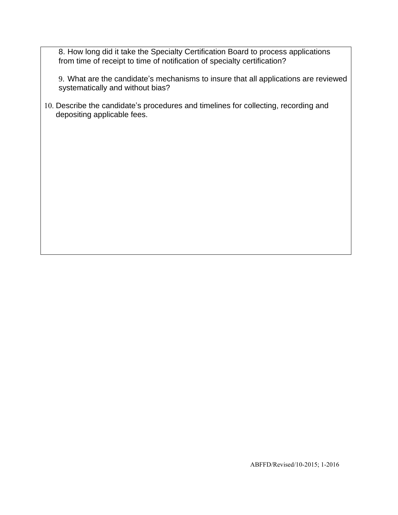8. How long did it take the Specialty Certification Board to process applications from time of receipt to time of notification of specialty certification?

9. What are the candidate's mechanisms to insure that all applications are reviewed systematically and without bias?

10. Describe the candidate's procedures and timelines for collecting, recording and depositing applicable fees.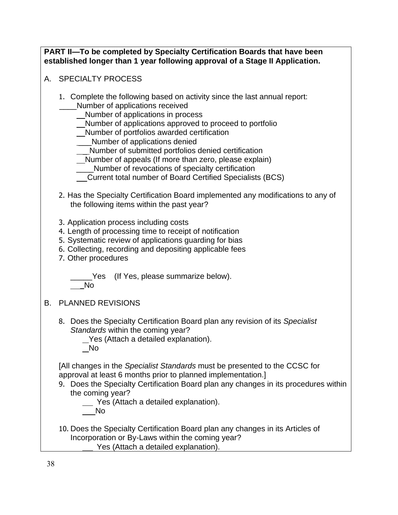**PART II—To be completed by Specialty Certification Boards that have been established longer than 1 year following approval of a Stage II Application.**

- A. SPECIALTY PROCESS
	- 1. Complete the following based on activity since the last annual report: \_\_\_\_Number of applications received
		- Number of applications in process
		- Number of applications approved to proceed to portfolio
		- Number of portfolios awarded certification
		- \_\_\_Number of applications denied
		- \_\_Number of submitted portfolios denied certification
		- Number of appeals (If more than zero, please explain)
		- Number of revocations of specialty certification
		- \_ Current total number of Board Certified Specialists (BCS)
	- 2. Has the Specialty Certification Board implemented any modifications to any of the following items within the past year?
	- 3. Application process including costs
	- 4. Length of processing time to receipt of notification
	- 5. Systematic review of applications guarding for bias
	- 6. Collecting, recording and depositing applicable fees
	- 7. Other procedures

Yes (If Yes, please summarize below). \_No

#### B. PLANNED REVISIONS

- 8. Does the Specialty Certification Board plan any revision of its *Specialist Standards* within the coming year?
	- Yes (Attach a detailed explanation).

No

[All changes in the *Specialist Standards* must be presented to the CCSC for approval at least 6 months prior to planned implementation.]

- 9. Does the Specialty Certification Board plan any changes in its procedures within the coming year?
	- Yes (Attach a detailed explanation).

\_ No

10. Does the Specialty Certification Board plan any changes in its Articles of Incorporation or By-Laws within the coming year? Yes (Attach a detailed explanation).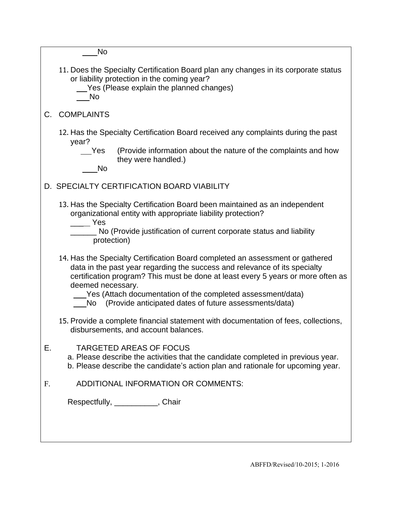| No                                                                                                                                                                                                                                                                                                                                                                                                  |
|-----------------------------------------------------------------------------------------------------------------------------------------------------------------------------------------------------------------------------------------------------------------------------------------------------------------------------------------------------------------------------------------------------|
| 11. Does the Specialty Certification Board plan any changes in its corporate status<br>or liability protection in the coming year?<br>Yes (Please explain the planned changes)<br>No                                                                                                                                                                                                                |
| <b>COMPLAINTS</b><br>C.                                                                                                                                                                                                                                                                                                                                                                             |
| 12. Has the Specialty Certification Board received any complaints during the past<br>year?                                                                                                                                                                                                                                                                                                          |
| (Provide information about the nature of the complaints and how<br>Yes<br>they were handled.)<br>No                                                                                                                                                                                                                                                                                                 |
| D. SPECIALTY CERTIFICATION BOARD VIABILITY                                                                                                                                                                                                                                                                                                                                                          |
| 13. Has the Specialty Certification Board been maintained as an independent<br>organizational entity with appropriate liability protection?<br>Yes<br>No (Provide justification of current corporate status and liability<br>protection)                                                                                                                                                            |
| 14. Has the Specialty Certification Board completed an assessment or gathered<br>data in the past year regarding the success and relevance of its specialty<br>certification program? This must be done at least every 5 years or more often as<br>deemed necessary.<br>Yes (Attach documentation of the completed assessment/data)<br>(Provide anticipated dates of future assessments/data)<br>No |
| 15. Provide a complete financial statement with documentation of fees, collections,<br>disbursements, and account balances.                                                                                                                                                                                                                                                                         |
| Е.<br><b>TARGETED AREAS OF FOCUS</b><br>a. Please describe the activities that the candidate completed in previous year.<br>b. Please describe the candidate's action plan and rationale for upcoming year.                                                                                                                                                                                         |
| ADDITIONAL INFORMATION OR COMMENTS:<br>F.                                                                                                                                                                                                                                                                                                                                                           |
| Respectfully, __________, Chair                                                                                                                                                                                                                                                                                                                                                                     |
|                                                                                                                                                                                                                                                                                                                                                                                                     |
|                                                                                                                                                                                                                                                                                                                                                                                                     |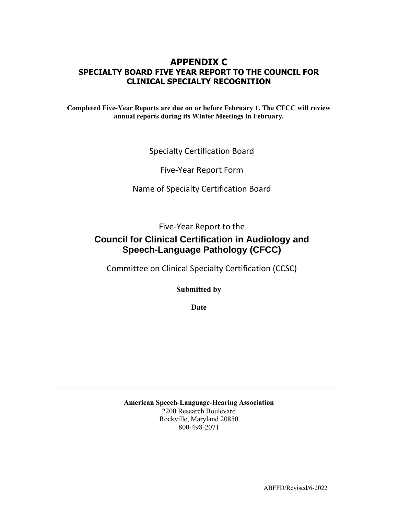### **APPENDIX C SPECIALTY BOARD FIVE YEAR REPORT TO THE COUNCIL FOR CLINICAL SPECIALTY RECOGNITION**

**Completed Five-Year Reports are due on or before February 1. The CFCC will review annual reports during its Winter Meetings in February.**

Specialty Certification Board

Five-Year Report Form

Name of Specialty Certification Board

Five-Year Report to the

# **Council for Clinical Certification in Audiology and Speech-Language Pathology (CFCC)**

Committee on Clinical Specialty Certification (CCSC)

**Submitted by** 

**Date**

**American Speech-Language-Hearing Association** 2200 Research Boulevard Rockville, Maryland 20850 800-498-2071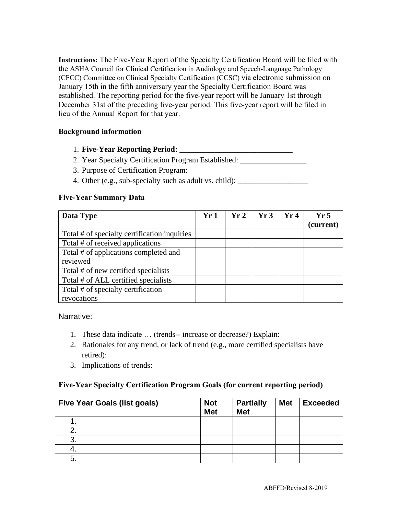**Instructions:** The Five-Year Report of the Specialty Certification Board will be filed with the ASHA Council for Clinical Certification in Audiology and Speech-Language Pathology (CFCC) Committee on Clinical Specialty Certification (CCSC) via electronic submission on January 15th in the fifth anniversary year the Specialty Certification Board was established. The reporting period for the five-year report will be January 1st through December 31st of the preceding five-year period. This five-year report will be filed in lieu of the Annual Report for that year.

#### **Background information**

- 1. **Five-Year Reporting Period: \_\_\_\_\_\_\_\_\_\_\_\_\_\_\_\_\_\_\_\_\_\_\_\_\_\_\_\_\_**
- 2. Year Specialty Certification Program Established: \_\_\_\_\_\_\_\_\_\_\_\_\_\_\_\_\_
- 3. Purpose of Certification Program:
- 4. Other (e.g., sub-specialty such as adult vs. child):

#### **Five-Year Summary Data**

| Data Type                                    | Yr1 | Yr2 | Yr3 | Yr4 | Yr <sub>5</sub><br>(current) |
|----------------------------------------------|-----|-----|-----|-----|------------------------------|
| Total # of specialty certification inquiries |     |     |     |     |                              |
| Total # of received applications             |     |     |     |     |                              |
| Total # of applications completed and        |     |     |     |     |                              |
| reviewed                                     |     |     |     |     |                              |
| Total # of new certified specialists         |     |     |     |     |                              |
| Total # of ALL certified specialists         |     |     |     |     |                              |
| Total # of specialty certification           |     |     |     |     |                              |
| revocations                                  |     |     |     |     |                              |

Narrative:

- 1. These data indicate … (trends-- increase or decrease?) Explain:
- 2. Rationales for any trend, or lack of trend (e.g., more certified specialists have retired):
- 3. Implications of trends:

#### **Five-Year Specialty Certification Program Goals (for current reporting period)**

| <b>Five Year Goals (list goals)</b> | <b>Not</b><br><b>Met</b> | <b>Partially</b><br><b>Met</b> | <b>Met</b> | <b>Exceeded</b> |
|-------------------------------------|--------------------------|--------------------------------|------------|-----------------|
|                                     |                          |                                |            |                 |
| 2.                                  |                          |                                |            |                 |
| 3.                                  |                          |                                |            |                 |
|                                     |                          |                                |            |                 |
| 5 <sub>o</sub>                      |                          |                                |            |                 |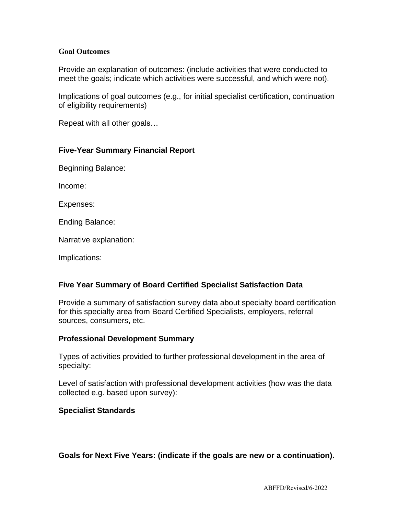#### **Goal Outcomes**

Provide an explanation of outcomes: (include activities that were conducted to meet the goals; indicate which activities were successful, and which were not).

Implications of goal outcomes (e.g., for initial specialist certification, continuation of eligibility requirements)

Repeat with all other goals…

#### **Five-Year Summary Financial Report**

Beginning Balance:

Income:

Expenses:

Ending Balance:

Narrative explanation:

Implications:

#### **Five Year Summary of Board Certified Specialist Satisfaction Data**

Provide a summary of satisfaction survey data about specialty board certification for this specialty area from Board Certified Specialists, employers, referral sources, consumers, etc.

#### **Professional Development Summary**

Types of activities provided to further professional development in the area of specialty:

Level of satisfaction with professional development activities (how was the data collected e.g. based upon survey):

#### **Specialist Standards**

#### **Goals for Next Five Years: (indicate if the goals are new or a continuation).**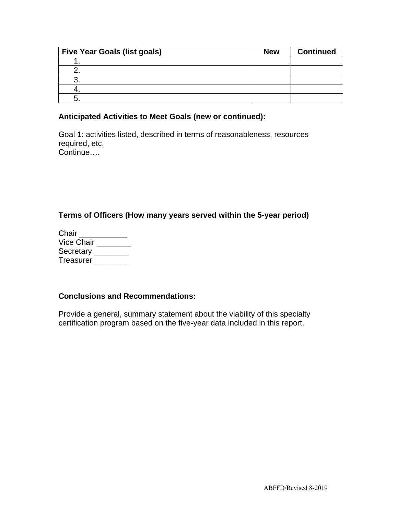| <b>Five Year Goals (list goals)</b> | <b>New</b> | <b>Continued</b> |
|-------------------------------------|------------|------------------|
|                                     |            |                  |
|                                     |            |                  |
|                                     |            |                  |
|                                     |            |                  |
|                                     |            |                  |

#### **Anticipated Activities to Meet Goals (new or continued):**

Goal 1: activities listed, described in terms of reasonableness, resources required, etc. Continue….

#### **Terms of Officers (How many years served within the 5-year period)**

| Chair             |  |
|-------------------|--|
| <b>Vice Chair</b> |  |
| Secretary         |  |
| <b>Treasurer</b>  |  |

#### **Conclusions and Recommendations:**

Provide a general, summary statement about the viability of this specialty certification program based on the five-year data included in this report.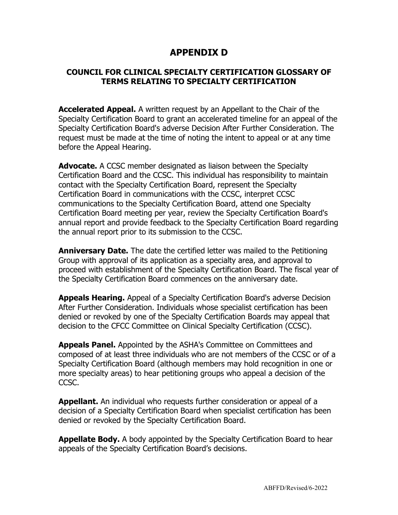### **APPENDIX D**

#### **COUNCIL FOR CLINICAL SPECIALTY CERTIFICATION GLOSSARY OF TERMS RELATING TO SPECIALTY CERTIFICATION**

**Accelerated Appeal.** A written request by an Appellant to the Chair of the Specialty Certification Board to grant an accelerated timeline for an appeal of the Specialty Certification Board's adverse Decision After Further Consideration. The request must be made at the time of noting the intent to appeal or at any time before the Appeal Hearing.

**Advocate.** A CCSC member designated as liaison between the Specialty Certification Board and the CCSC. This individual has responsibility to maintain contact with the Specialty Certification Board, represent the Specialty Certification Board in communications with the CCSC, interpret CCSC communications to the Specialty Certification Board, attend one Specialty Certification Board meeting per year, review the Specialty Certification Board's annual report and provide feedback to the Specialty Certification Board regarding the annual report prior to its submission to the CCSC.

**Anniversary Date.** The date the certified letter was mailed to the Petitioning Group with approval of its application as a specialty area, and approval to proceed with establishment of the Specialty Certification Board. The fiscal year of the Specialty Certification Board commences on the anniversary date.

**Appeals Hearing.** Appeal of a Specialty Certification Board's adverse Decision After Further Consideration. Individuals whose specialist certification has been denied or revoked by one of the Specialty Certification Boards may appeal that decision to the CFCC Committee on Clinical Specialty Certification (CCSC).

**Appeals Panel.** Appointed by the ASHA's Committee on Committees and composed of at least three individuals who are not members of the CCSC or of a Specialty Certification Board (although members may hold recognition in one or more specialty areas) to hear petitioning groups who appeal a decision of the CCSC.

**Appellant.** An individual who requests further consideration or appeal of a decision of a Specialty Certification Board when specialist certification has been denied or revoked by the Specialty Certification Board.

**Appellate Body.** A body appointed by the Specialty Certification Board to hear appeals of the Specialty Certification Board's decisions.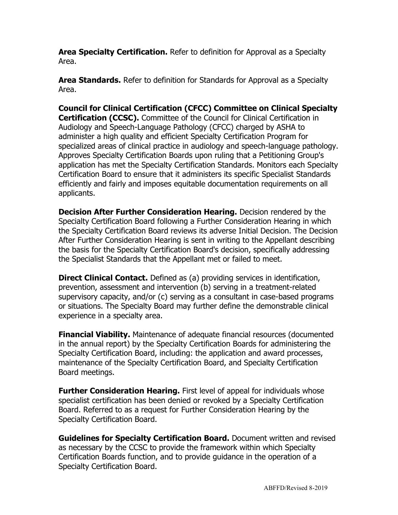**Area Specialty Certification.** Refer to definition for Approval as a Specialty Area.

**Area Standards.** Refer to definition for Standards for Approval as a Specialty Area.

**Council for Clinical Certification (CFCC) Committee on Clinical Specialty Certification (CCSC).** Committee of the Council for Clinical Certification in Audiology and Speech-Language Pathology (CFCC) charged by ASHA to administer a high quality and efficient Specialty Certification Program for specialized areas of clinical practice in audiology and speech-language pathology. Approves Specialty Certification Boards upon ruling that a Petitioning Group's application has met the Specialty Certification Standards. Monitors each Specialty Certification Board to ensure that it administers its specific Specialist Standards efficiently and fairly and imposes equitable documentation requirements on all applicants.

**Decision After Further Consideration Hearing.** Decision rendered by the Specialty Certification Board following a Further Consideration Hearing in which the Specialty Certification Board reviews its adverse Initial Decision. The Decision After Further Consideration Hearing is sent in writing to the Appellant describing the basis for the Specialty Certification Board's decision, specifically addressing the Specialist Standards that the Appellant met or failed to meet.

**Direct Clinical Contact.** Defined as (a) providing services in identification, prevention, assessment and intervention (b) serving in a treatment-related supervisory capacity, and/or (c) serving as a consultant in case-based programs or situations. The Specialty Board may further define the demonstrable clinical experience in a specialty area.

**Financial Viability.** Maintenance of adequate financial resources (documented in the annual report) by the Specialty Certification Boards for administering the Specialty Certification Board, including: the application and award processes, maintenance of the Specialty Certification Board, and Specialty Certification Board meetings.

**Further Consideration Hearing.** First level of appeal for individuals whose specialist certification has been denied or revoked by a Specialty Certification Board. Referred to as a request for Further Consideration Hearing by the Specialty Certification Board.

**Guidelines for Specialty Certification Board.** Document written and revised as necessary by the CCSC to provide the framework within which Specialty Certification Boards function, and to provide guidance in the operation of a Specialty Certification Board.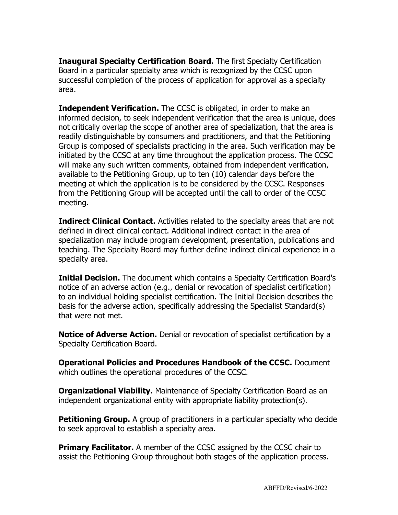**Inaugural Specialty Certification Board.** The first Specialty Certification Board in a particular specialty area which is recognized by the CCSC upon successful completion of the process of application for approval as a specialty area.

**Independent Verification.** The CCSC is obligated, in order to make an informed decision, to seek independent verification that the area is unique, does not critically overlap the scope of another area of specialization, that the area is readily distinguishable by consumers and practitioners, and that the Petitioning Group is composed of specialists practicing in the area. Such verification may be initiated by the CCSC at any time throughout the application process. The CCSC will make any such written comments, obtained from independent verification, available to the Petitioning Group, up to ten (10) calendar days before the meeting at which the application is to be considered by the CCSC. Responses from the Petitioning Group will be accepted until the call to order of the CCSC meeting.

**Indirect Clinical Contact.** Activities related to the specialty areas that are not defined in direct clinical contact. Additional indirect contact in the area of specialization may include program development, presentation, publications and teaching. The Specialty Board may further define indirect clinical experience in a specialty area.

**Initial Decision.** The document which contains a Specialty Certification Board's notice of an adverse action (e.g., denial or revocation of specialist certification) to an individual holding specialist certification. The Initial Decision describes the basis for the adverse action, specifically addressing the Specialist Standard(s) that were not met.

**Notice of Adverse Action.** Denial or revocation of specialist certification by a Specialty Certification Board.

**Operational Policies and Procedures Handbook of the CCSC.** Document which outlines the operational procedures of the CCSC.

**Organizational Viability.** Maintenance of Specialty Certification Board as an independent organizational entity with appropriate liability protection(s).

**Petitioning Group.** A group of practitioners in a particular specialty who decide to seek approval to establish a specialty area.

**Primary Facilitator.** A member of the CCSC assigned by the CCSC chair to assist the Petitioning Group throughout both stages of the application process.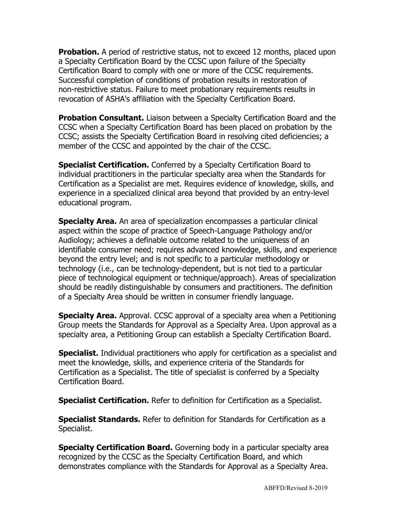**Probation.** A period of restrictive status, not to exceed 12 months, placed upon a Specialty Certification Board by the CCSC upon failure of the Specialty Certification Board to comply with one or more of the CCSC requirements. Successful completion of conditions of probation results in restoration of non-restrictive status. Failure to meet probationary requirements results in revocation of ASHA's affiliation with the Specialty Certification Board.

**Probation Consultant.** Liaison between a Specialty Certification Board and the CCSC when a Specialty Certification Board has been placed on probation by the CCSC; assists the Specialty Certification Board in resolving cited deficiencies; a member of the CCSC and appointed by the chair of the CCSC.

**Specialist Certification.** Conferred by a Specialty Certification Board to individual practitioners in the particular specialty area when the Standards for Certification as a Specialist are met. Requires evidence of knowledge, skills, and experience in a specialized clinical area beyond that provided by an entry-level educational program.

**Specialty Area.** An area of specialization encompasses a particular clinical aspect within the scope of practice of Speech-Language Pathology and/or Audiology; achieves a definable outcome related to the uniqueness of an identifiable consumer need; requires advanced knowledge, skills, and experience beyond the entry level; and is not specific to a particular methodology or technology (i.e., can be technology-dependent, but is not tied to a particular piece of technological equipment or technique/approach). Areas of specialization should be readily distinguishable by consumers and practitioners. The definition of a Specialty Area should be written in consumer friendly language.

**Specialty Area.** Approval. CCSC approval of a specialty area when a Petitioning Group meets the Standards for Approval as a Specialty Area. Upon approval as a specialty area, a Petitioning Group can establish a Specialty Certification Board.

**Specialist.** Individual practitioners who apply for certification as a specialist and meet the knowledge, skills, and experience criteria of the Standards for Certification as a Specialist. The title of specialist is conferred by a Specialty Certification Board.

**Specialist Certification.** Refer to definition for Certification as a Specialist.

**Specialist Standards.** Refer to definition for Standards for Certification as a Specialist.

**Specialty Certification Board.** Governing body in a particular specialty area recognized by the CCSC as the Specialty Certification Board, and which demonstrates compliance with the Standards for Approval as a Specialty Area.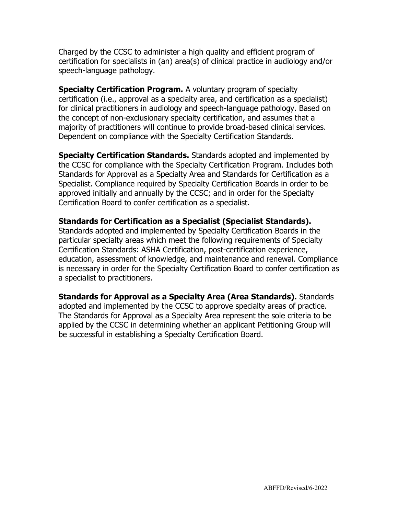Charged by the CCSC to administer a high quality and efficient program of certification for specialists in (an) area(s) of clinical practice in audiology and/or speech-language pathology.

**Specialty Certification Program.** A voluntary program of specialty certification (i.e., approval as a specialty area, and certification as a specialist) for clinical practitioners in audiology and speech-language pathology. Based on the concept of non-exclusionary specialty certification, and assumes that a majority of practitioners will continue to provide broad-based clinical services. Dependent on compliance with the Specialty Certification Standards.

**Specialty Certification Standards.** Standards adopted and implemented by the CCSC for compliance with the Specialty Certification Program. Includes both Standards for Approval as a Specialty Area and Standards for Certification as a Specialist. Compliance required by Specialty Certification Boards in order to be approved initially and annually by the CCSC; and in order for the Specialty Certification Board to confer certification as a specialist.

#### **Standards for Certification as a Specialist (Specialist Standards).**

Standards adopted and implemented by Specialty Certification Boards in the particular specialty areas which meet the following requirements of Specialty Certification Standards: ASHA Certification, post-certification experience, education, assessment of knowledge, and maintenance and renewal. Compliance is necessary in order for the Specialty Certification Board to confer certification as a specialist to practitioners.

**Standards for Approval as a Specialty Area (Area Standards).** Standards adopted and implemented by the CCSC to approve specialty areas of practice. The Standards for Approval as a Specialty Area represent the sole criteria to be applied by the CCSC in determining whether an applicant Petitioning Group will be successful in establishing a Specialty Certification Board.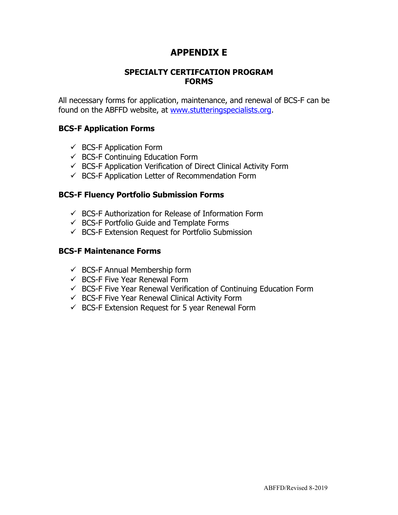# **APPENDIX E**

#### **SPECIALTY CERTIFCATION PROGRAM FORMS**

All necessary forms for application, maintenance, and renewal of BCS-F can be found on the ABFFD website, at [www.stutteringspecialists.org.](http://www.stutteringspecialists.org/)

#### **BCS-F Application Forms**

- $\checkmark$  BCS-F Application Form
- $\checkmark$  BCS-F Continuing Education Form
- $\checkmark$  BCS-F Application Verification of Direct Clinical Activity Form
- $\checkmark$  BCS-F Application Letter of Recommendation Form

#### **BCS-F Fluency Portfolio Submission Forms**

- $\checkmark$  BCS-F Authorization for Release of Information Form
- $\checkmark$  BCS-F Portfolio Guide and Template Forms
- $\checkmark$  BCS-F Extension Request for Portfolio Submission

#### **BCS-F Maintenance Forms**

- $\checkmark$  BCS-F Annual Membership form
- $\checkmark$  BCS-F Five Year Renewal Form
- ✓ BCS-F Five Year Renewal Verification of Continuing Education Form
- $\checkmark$  BCS-F Five Year Renewal Clinical Activity Form
- $\checkmark$  BCS-F Extension Request for 5 year Renewal Form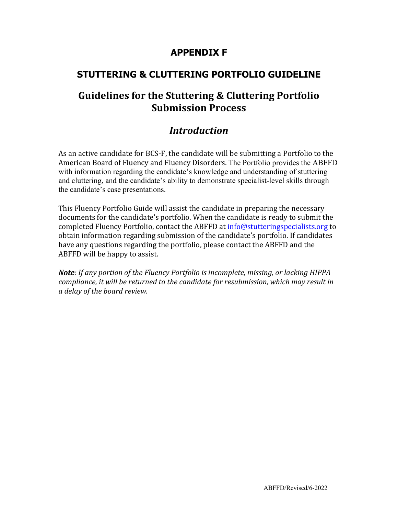# **APPENDIX F**

# **STUTTERING & CLUTTERING PORTFOLIO GUIDELINE**

# **Guidelines for the Stuttering & Cluttering Portfolio Submission Process**

# *Introduction*

As an active candidate for BCS-F, the candidate will be submitting a Portfolio to the American Board of Fluency and Fluency Disorders. The Portfolio provides the ABFFD with information regarding the candidate's knowledge and understanding of stuttering and cluttering, and the candidate's ability to demonstrate specialist-level skills through the candidate's case presentations.

This Fluency Portfolio Guide will assist the candidate in preparing the necessary documents for the candidate's portfolio. When the candidate is ready to submit the completed Fluency Portfolio, contact the ABFFD at [info@stutteringspecialists.org](mailto:info@stutteringspecialists.org) to obtain information regarding submission of the candidate's portfolio. If candidates have any questions regarding the portfolio, please contact the ABFFD and the ABFFD will be happy to assist.

*Note: If any portion of the Fluency Portfolio is incomplete, missing, or lacking HIPPA compliance, it will be returned to the candidate for resubmission, which may result in a delay of the board review.*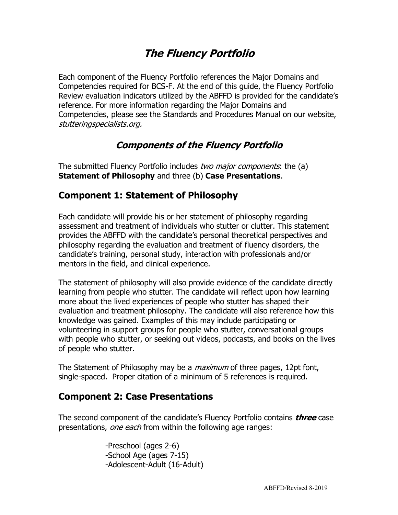# **The Fluency Portfolio**

Each component of the Fluency Portfolio references the Major Domains and Competencies required for BCS-F. At the end of this guide, the Fluency Portfolio Review evaluation indicators utilized by the ABFFD is provided for the candidate's reference. For more information regarding the Major Domains and Competencies, please see the Standards and Procedures Manual on our website, stutteringspecialists.org.

# **Components of the Fluency Portfolio**

The submitted Fluency Portfolio includes *two major components*: the (a) **Statement of Philosophy** and three (b) **Case Presentations**.

# **Component 1: Statement of Philosophy**

Each candidate will provide his or her statement of philosophy regarding assessment and treatment of individuals who stutter or clutter. This statement provides the ABFFD with the candidate's personal theoretical perspectives and philosophy regarding the evaluation and treatment of fluency disorders, the candidate's training, personal study, interaction with professionals and/or mentors in the field, and clinical experience.

The statement of philosophy will also provide evidence of the candidate directly learning from people who stutter. The candidate will reflect upon how learning more about the lived experiences of people who stutter has shaped their evaluation and treatment philosophy. The candidate will also reference how this knowledge was gained. Examples of this may include participating or volunteering in support groups for people who stutter, conversational groups with people who stutter, or seeking out videos, podcasts, and books on the lives of people who stutter.

The Statement of Philosophy may be a *maximum* of three pages, 12pt font, single-spaced. Proper citation of a minimum of 5 references is required.

# **Component 2: Case Presentations**

The second component of the candidate's Fluency Portfolio contains **three** case presentations, one each from within the following age ranges:

> -Preschool (ages 2-6) -School Age (ages 7-15) -Adolescent-Adult (16-Adult)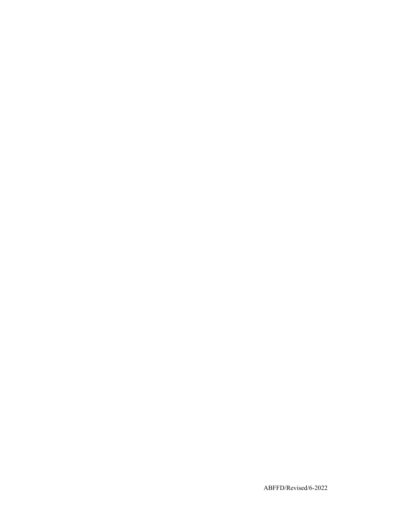ABFFD/Revised/6-2022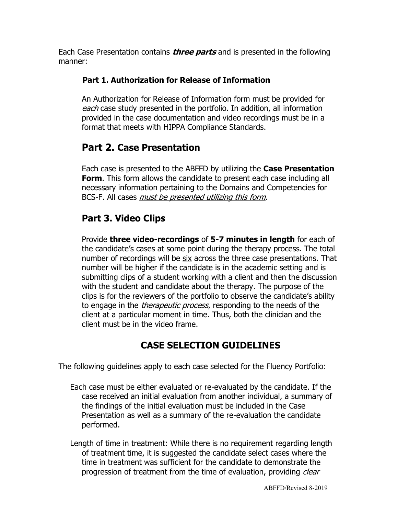Each Case Presentation contains **three parts** and is presented in the following manner:

### **Part 1. Authorization for Release of Information**

An Authorization for Release of Information form must be provided for each case study presented in the portfolio. In addition, all information provided in the case documentation and video recordings must be in a format that meets with HIPPA Compliance Standards.

# **Part 2. Case Presentation**

Each case is presented to the ABFFD by utilizing the **Case Presentation Form.** This form allows the candidate to present each case including all necessary information pertaining to the Domains and Competencies for BCS-F. All cases *must be presented utilizing this form*.

# **Part 3. Video Clips**

Provide **three video-recordings** of **5-7 minutes in length** for each of the candidate's cases at some point during the therapy process. The total number of recordings will be six across the three case presentations. That number will be higher if the candidate is in the academic setting and is submitting clips of a student working with a client and then the discussion with the student and candidate about the therapy. The purpose of the clips is for the reviewers of the portfolio to observe the candidate's ability to engage in the *therapeutic process*, responding to the needs of the client at a particular moment in time. Thus, both the clinician and the client must be in the video frame.

# **CASE SELECTION GUIDELINES**

The following guidelines apply to each case selected for the Fluency Portfolio:

- Each case must be either evaluated or re-evaluated by the candidate. If the case received an initial evaluation from another individual, a summary of the findings of the initial evaluation must be included in the Case Presentation as well as a summary of the re-evaluation the candidate performed.
- Length of time in treatment: While there is no requirement regarding length of treatment time, it is suggested the candidate select cases where the time in treatment was sufficient for the candidate to demonstrate the progression of treatment from the time of evaluation, providing *clear*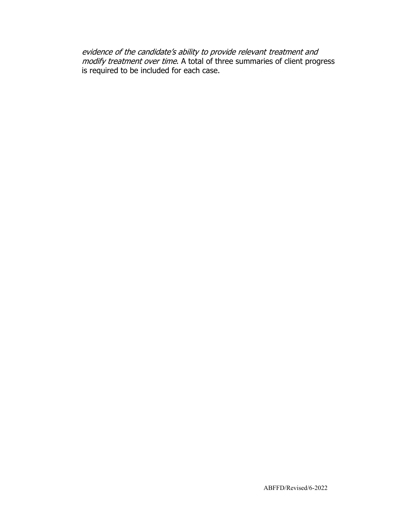evidence of the candidate'<sup>s</sup> ability to provide relevant treatment and modify treatment over time. A total of three summaries of client progress is required to be included for each case.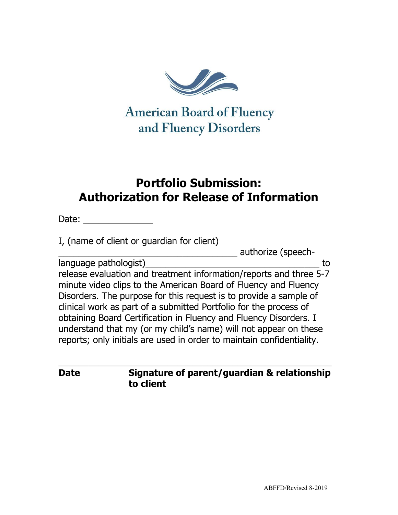

**American Board of Fluency** and Fluency Disorders

# **Portfolio Submission: Authorization for Release of Information**

Date:

I, (name of client or guardian for client)

\_\_\_\_\_\_\_\_\_\_\_\_\_\_\_\_\_\_\_\_\_\_\_\_\_\_\_\_\_\_\_\_\_\_\_\_ authorize (speechlanguage pathologist) and the state of the state of the state of the state of the state of the state of the sta release evaluation and treatment information/reports and three 5-7 minute video clips to the American Board of Fluency and Fluency Disorders. The purpose for this request is to provide a sample of clinical work as part of a submitted Portfolio for the process of obtaining Board Certification in Fluency and Fluency Disorders. I understand that my (or my child's name) will not appear on these reports; only initials are used in order to maintain confidentiality.

 $\frac{1}{2}$  ,  $\frac{1}{2}$  ,  $\frac{1}{2}$  ,  $\frac{1}{2}$  ,  $\frac{1}{2}$  ,  $\frac{1}{2}$  ,  $\frac{1}{2}$  ,  $\frac{1}{2}$  ,  $\frac{1}{2}$  ,  $\frac{1}{2}$  ,  $\frac{1}{2}$  ,  $\frac{1}{2}$  ,  $\frac{1}{2}$  ,  $\frac{1}{2}$  ,  $\frac{1}{2}$  ,  $\frac{1}{2}$  ,  $\frac{1}{2}$  ,  $\frac{1}{2}$  ,  $\frac{1$ 

# **Date Signature of parent/guardian & relationship to client**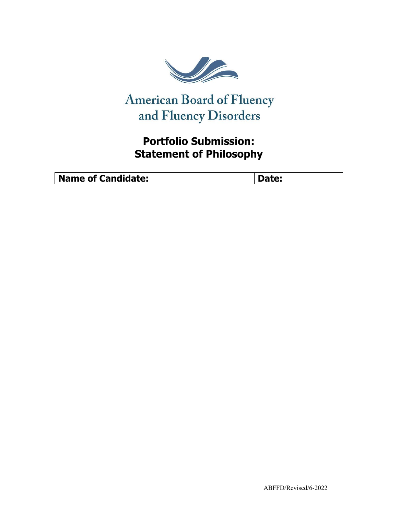

# **American Board of Fluency** and Fluency Disorders

# **Portfolio Submission: Statement of Philosophy**

| <b>Name of Candidate:</b> |  |
|---------------------------|--|
|---------------------------|--|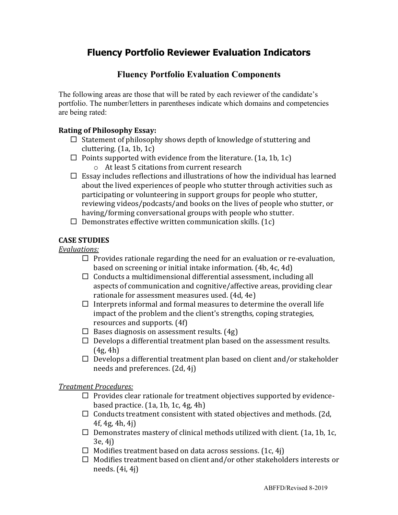# **Fluency Portfolio Reviewer Evaluation Indicators**

### **Fluency Portfolio Evaluation Components**

The following areas are those that will be rated by each reviewer of the candidate's portfolio. The number/letters in parentheses indicate which domains and competencies are being rated:

#### **Rating of Philosophy Essay:**

- $\Box$  Statement of philosophy shows depth of knowledge of stuttering and cluttering. (1a, 1b, 1c)
- $\Box$  Points supported with evidence from the literature. (1a, 1b, 1c)
	- o At least 5 citations from current research
- $\Box$  Essay includes reflections and illustrations of how the individual has learned about the lived experiences of people who stutter through activities such as participating or volunteering in support groups for people who stutter, reviewing videos/podcasts/and books on the lives of people who stutter, or having/forming conversational groups with people who stutter.
- $\Box$  Demonstrates effective written communication skills. (1c)

#### **CASE STUDIES**

#### *Evaluations:*

- $\Box$  Provides rationale regarding the need for an evaluation or re-evaluation, based on screening or initial intake information. (4b, 4c, 4d)
- $\Box$  Conducts a multidimensional differential assessment, including all aspects of communication and cognitive/affective areas, providing clear rationale for assessment measures used. (4d, 4e)
- $\Box$  Interprets informal and formal measures to determine the overall life impact of the problem and the client's strengths, coping strategies, resources and supports. (4f)
- $\Box$  Bases diagnosis on assessment results. (4g)
- $\Box$  Develops a differential treatment plan based on the assessment results. (4g, 4h)
- $\Box$  Develops a differential treatment plan based on client and/or stakeholder needs and preferences. (2d, 4j)

#### *Treatment Procedures:*

- $\Box$  Provides clear rationale for treatment objectives supported by evidencebased practice. (1a, 1b, 1c, 4g, 4h)
- $\Box$  Conducts treatment consistent with stated objectives and methods. (2d, 4f, 4g, 4h, 4j)
- $\Box$  Demonstrates mastery of clinical methods utilized with client. (1a, 1b, 1c, 3e, 4j)
- $\Box$  Modifies treatment based on data across sessions. (1c, 4j)
- $\Box$  Modifies treatment based on client and/or other stakeholders interests or needs. (4i, 4j)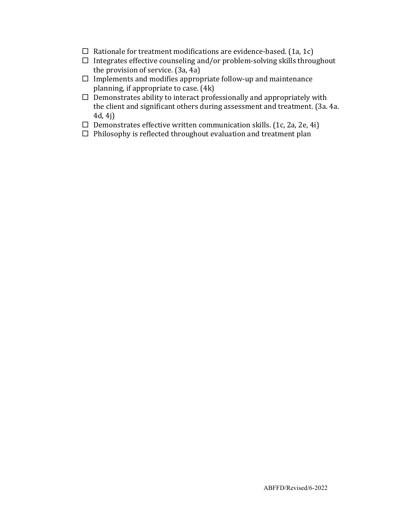- $\Box$  Rationale for treatment modifications are evidence-based. (1a, 1c)
- $\Box$  Integrates effective counseling and/or problem-solving skills throughout the provision of service. (3a, 4a)
- $\Box$  Implements and modifies appropriate follow-up and maintenance planning, if appropriate to case. (4k)
- $\Box$  Demonstrates ability to interact professionally and appropriately with the client and significant others during assessment and treatment. (3a. 4a. 4d, 4j)
- $\Box$  Demonstrates effective written communication skills. (1c, 2a, 2e, 4i)
- $\Box$  Philosophy is reflected throughout evaluation and treatment plan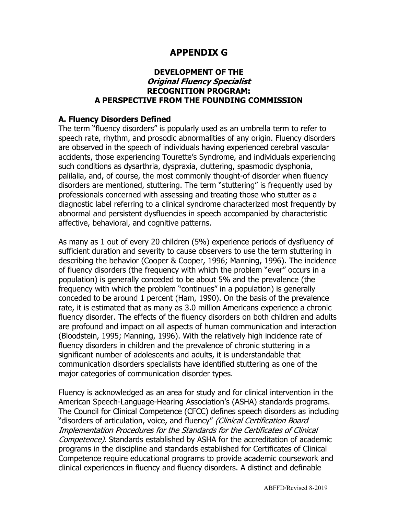### **APPENDIX G**

#### **DEVELOPMENT OF THE Original Fluency Specialist RECOGNITION PROGRAM: A PERSPECTIVE FROM THE FOUNDING COMMISSION**

#### **A. Fluency Disorders Defined**

The term "fluency disorders" is popularly used as an umbrella term to refer to speech rate, rhythm, and prosodic abnormalities of any origin. Fluency disorders are observed in the speech of individuals having experienced cerebral vascular accidents, those experiencing Tourette's Syndrome, and individuals experiencing such conditions as dysarthria, dyspraxia, cluttering, spasmodic dysphonia, palilalia, and, of course, the most commonly thought-of disorder when fluency disorders are mentioned, stuttering. The term "stuttering" is frequently used by professionals concerned with assessing and treating those who stutter as a diagnostic label referring to a clinical syndrome characterized most frequently by abnormal and persistent dysfluencies in speech accompanied by characteristic affective, behavioral, and cognitive patterns.

As many as 1 out of every 20 children (5%) experience periods of dysfluency of sufficient duration and severity to cause observers to use the term stuttering in describing the behavior (Cooper & Cooper, 1996; Manning, 1996). The incidence of fluency disorders (the frequency with which the problem "ever" occurs in a population) is generally conceded to be about 5% and the prevalence (the frequency with which the problem "continues" in a population) is generally conceded to be around 1 percent (Ham, 1990). On the basis of the prevalence rate, it is estimated that as many as 3.0 million Americans experience a chronic fluency disorder. The effects of the fluency disorders on both children and adults are profound and impact on all aspects of human communication and interaction (Bloodstein, 1995; Manning, 1996). With the relatively high incidence rate of fluency disorders in children and the prevalence of chronic stuttering in a significant number of adolescents and adults, it is understandable that communication disorders specialists have identified stuttering as one of the major categories of communication disorder types.

Fluency is acknowledged as an area for study and for clinical intervention in the American Speech-Language-Hearing Association's (ASHA) standards programs. The Council for Clinical Competence (CFCC) defines speech disorders as including "disorders of articulation, voice, and fluency" (Clinical Certification Board Implementation Procedures for the Standards for the Certificates of Clinical Competence). Standards established by ASHA for the accreditation of academic programs in the discipline and standards established for Certificates of Clinical Competence require educational programs to provide academic coursework and clinical experiences in fluency and fluency disorders. A distinct and definable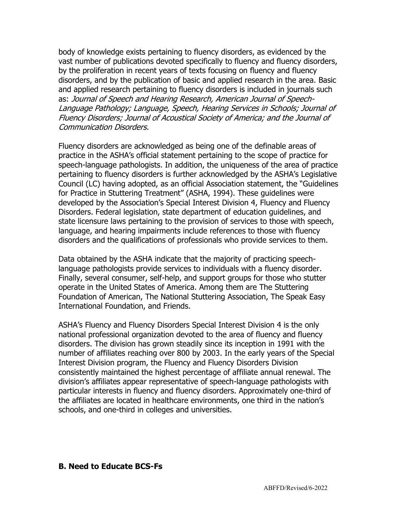body of knowledge exists pertaining to fluency disorders, as evidenced by the vast number of publications devoted specifically to fluency and fluency disorders, by the proliferation in recent years of texts focusing on fluency and fluency disorders, and by the publication of basic and applied research in the area. Basic and applied research pertaining to fluency disorders is included in journals such as: Journal of Speech and Hearing Research, American Journal of Speech-Language Pathology; Language, Speech, Hearing Services in Schools; Journal of Fluency Disorders; Journal of Acoustical Society of America; and the Journal of Communication Disorders.

Fluency disorders are acknowledged as being one of the definable areas of practice in the ASHA's official statement pertaining to the scope of practice for speech-language pathologists. In addition, the uniqueness of the area of practice pertaining to fluency disorders is further acknowledged by the ASHA's Legislative Council (LC) having adopted, as an official Association statement, the "Guidelines for Practice in Stuttering Treatment" (ASHA, 1994). These guidelines were developed by the Association's Special Interest Division 4, Fluency and Fluency Disorders. Federal legislation, state department of education guidelines, and state licensure laws pertaining to the provision of services to those with speech, language, and hearing impairments include references to those with fluency disorders and the qualifications of professionals who provide services to them.

Data obtained by the ASHA indicate that the majority of practicing speechlanguage pathologists provide services to individuals with a fluency disorder. Finally, several consumer, self-help, and support groups for those who stutter operate in the United States of America. Among them are The Stuttering Foundation of American, The National Stuttering Association, The Speak Easy International Foundation, and Friends.

ASHA's Fluency and Fluency Disorders Special Interest Division 4 is the only national professional organization devoted to the area of fluency and fluency disorders. The division has grown steadily since its inception in 1991 with the number of affiliates reaching over 800 by 2003. In the early years of the Special Interest Division program, the Fluency and Fluency Disorders Division consistently maintained the highest percentage of affiliate annual renewal. The division's affiliates appear representative of speech-language pathologists with particular interests in fluency and fluency disorders. Approximately one-third of the affiliates are located in healthcare environments, one third in the nation's schools, and one-third in colleges and universities.

#### **B. Need to Educate BCS-Fs**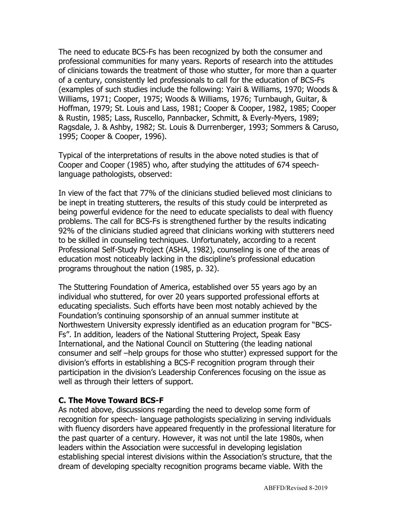The need to educate BCS-Fs has been recognized by both the consumer and professional communities for many years. Reports of research into the attitudes of clinicians towards the treatment of those who stutter, for more than a quarter of a century, consistently led professionals to call for the education of BCS-Fs (examples of such studies include the following: Yairi & Williams, 1970; Woods & Williams, 1971; Cooper, 1975; Woods & Williams, 1976; Turnbaugh, Guitar, & Hoffman, 1979; St. Louis and Lass, 1981; Cooper & Cooper, 1982, 1985; Cooper & Rustin, 1985; Lass, Ruscello, Pannbacker, Schmitt, & Everly-Myers, 1989; Ragsdale, J. & Ashby, 1982; St. Louis & Durrenberger, 1993; Sommers & Caruso, 1995; Cooper & Cooper, 1996).

Typical of the interpretations of results in the above noted studies is that of Cooper and Cooper (1985) who, after studying the attitudes of 674 speechlanguage pathologists, observed:

In view of the fact that 77% of the clinicians studied believed most clinicians to be inept in treating stutterers, the results of this study could be interpreted as being powerful evidence for the need to educate specialists to deal with fluency problems. The call for BCS-Fs is strengthened further by the results indicating 92% of the clinicians studied agreed that clinicians working with stutterers need to be skilled in counseling techniques. Unfortunately, according to a recent Professional Self-Study Project (ASHA, 1982), counseling is one of the areas of education most noticeably lacking in the discipline's professional education programs throughout the nation (1985, p. 32).

The Stuttering Foundation of America, established over 55 years ago by an individual who stuttered, for over 20 years supported professional efforts at educating specialists. Such efforts have been most notably achieved by the Foundation's continuing sponsorship of an annual summer institute at Northwestern University expressly identified as an education program for "BCS-Fs". In addition, leaders of the National Stuttering Project, Speak Easy International, and the National Council on Stuttering (the leading national consumer and self –help groups for those who stutter) expressed support for the division's efforts in establishing a BCS-F recognition program through their participation in the division's Leadership Conferences focusing on the issue as well as through their letters of support.

#### **C. The Move Toward BCS-F**

As noted above, discussions regarding the need to develop some form of recognition for speech- language pathologists specializing in serving individuals with fluency disorders have appeared frequently in the professional literature for the past quarter of a century. However, it was not until the late 1980s, when leaders within the Association were successful in developing legislation establishing special interest divisions within the Association's structure, that the dream of developing specialty recognition programs became viable. With the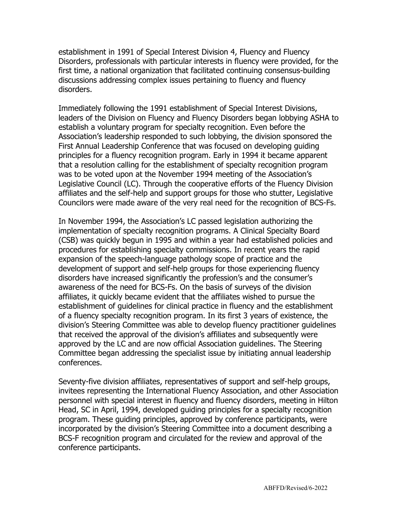establishment in 1991 of Special Interest Division 4, Fluency and Fluency Disorders, professionals with particular interests in fluency were provided, for the first time, a national organization that facilitated continuing consensus-building discussions addressing complex issues pertaining to fluency and fluency disorders.

Immediately following the 1991 establishment of Special Interest Divisions, leaders of the Division on Fluency and Fluency Disorders began lobbying ASHA to establish a voluntary program for specialty recognition. Even before the Association's leadership responded to such lobbying, the division sponsored the First Annual Leadership Conference that was focused on developing guiding principles for a fluency recognition program. Early in 1994 it became apparent that a resolution calling for the establishment of specialty recognition program was to be voted upon at the November 1994 meeting of the Association's Legislative Council (LC). Through the cooperative efforts of the Fluency Division affiliates and the self-help and support groups for those who stutter, Legislative Councilors were made aware of the very real need for the recognition of BCS-Fs.

In November 1994, the Association's LC passed legislation authorizing the implementation of specialty recognition programs. A Clinical Specialty Board (CSB) was quickly begun in 1995 and within a year had established policies and procedures for establishing specialty commissions. In recent years the rapid expansion of the speech-language pathology scope of practice and the development of support and self-help groups for those experiencing fluency disorders have increased significantly the profession's and the consumer's awareness of the need for BCS-Fs. On the basis of surveys of the division affiliates, it quickly became evident that the affiliates wished to pursue the establishment of guidelines for clinical practice in fluency and the establishment of a fluency specialty recognition program. In its first 3 years of existence, the division's Steering Committee was able to develop fluency practitioner guidelines that received the approval of the division's affiliates and subsequently were approved by the LC and are now official Association guidelines. The Steering Committee began addressing the specialist issue by initiating annual leadership conferences.

Seventy-five division affiliates, representatives of support and self-help groups, invitees representing the International Fluency Association, and other Association personnel with special interest in fluency and fluency disorders, meeting in Hilton Head, SC in April, 1994, developed guiding principles for a specialty recognition program. These guiding principles, approved by conference participants, were incorporated by the division's Steering Committee into a document describing a BCS-F recognition program and circulated for the review and approval of the conference participants.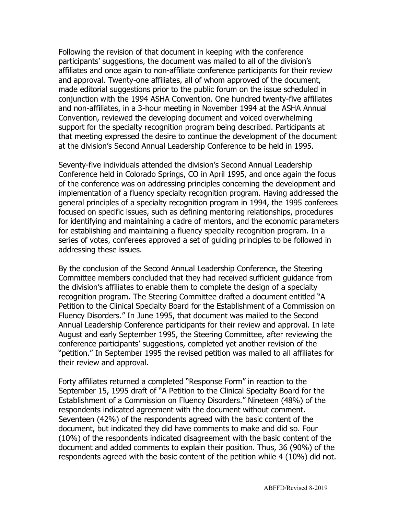Following the revision of that document in keeping with the conference participants' suggestions, the document was mailed to all of the division's affiliates and once again to non-affiliate conference participants for their review and approval. Twenty-one affiliates, all of whom approved of the document, made editorial suggestions prior to the public forum on the issue scheduled in conjunction with the 1994 ASHA Convention. One hundred twenty-five affiliates and non-affiliates, in a 3-hour meeting in November 1994 at the ASHA Annual Convention, reviewed the developing document and voiced overwhelming support for the specialty recognition program being described. Participants at that meeting expressed the desire to continue the development of the document at the division's Second Annual Leadership Conference to be held in 1995.

Seventy-five individuals attended the division's Second Annual Leadership Conference held in Colorado Springs, CO in April 1995, and once again the focus of the conference was on addressing principles concerning the development and implementation of a fluency specialty recognition program. Having addressed the general principles of a specialty recognition program in 1994, the 1995 conferees focused on specific issues, such as defining mentoring relationships, procedures for identifying and maintaining a cadre of mentors, and the economic parameters for establishing and maintaining a fluency specialty recognition program. In a series of votes, conferees approved a set of guiding principles to be followed in addressing these issues.

By the conclusion of the Second Annual Leadership Conference, the Steering Committee members concluded that they had received sufficient guidance from the division's affiliates to enable them to complete the design of a specialty recognition program. The Steering Committee drafted a document entitled "A Petition to the Clinical Specialty Board for the Establishment of a Commission on Fluency Disorders." In June 1995, that document was mailed to the Second Annual Leadership Conference participants for their review and approval. In late August and early September 1995, the Steering Committee, after reviewing the conference participants' suggestions, completed yet another revision of the "petition." In September 1995 the revised petition was mailed to all affiliates for their review and approval.

Forty affiliates returned a completed "Response Form" in reaction to the September 15, 1995 draft of "A Petition to the Clinical Specialty Board for the Establishment of a Commission on Fluency Disorders." Nineteen (48%) of the respondents indicated agreement with the document without comment. Seventeen (42%) of the respondents agreed with the basic content of the document, but indicated they did have comments to make and did so. Four (10%) of the respondents indicated disagreement with the basic content of the document and added comments to explain their position. Thus, 36 (90%) of the respondents agreed with the basic content of the petition while 4 (10%) did not.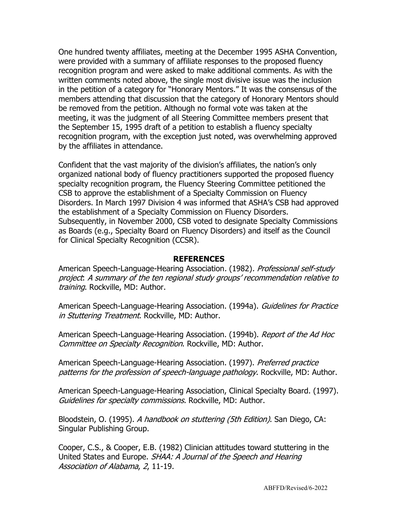One hundred twenty affiliates, meeting at the December 1995 ASHA Convention, were provided with a summary of affiliate responses to the proposed fluency recognition program and were asked to make additional comments. As with the written comments noted above, the single most divisive issue was the inclusion in the petition of a category for "Honorary Mentors." It was the consensus of the members attending that discussion that the category of Honorary Mentors should be removed from the petition. Although no formal vote was taken at the meeting, it was the judgment of all Steering Committee members present that the September 15, 1995 draft of a petition to establish a fluency specialty recognition program, with the exception just noted, was overwhelming approved by the affiliates in attendance.

Confident that the vast majority of the division's affiliates, the nation's only organized national body of fluency practitioners supported the proposed fluency specialty recognition program, the Fluency Steering Committee petitioned the CSB to approve the establishment of a Specialty Commission on Fluency Disorders. In March 1997 Division 4 was informed that ASHA's CSB had approved the establishment of a Specialty Commission on Fluency Disorders. Subsequently, in November 2000, CSB voted to designate Specialty Commissions as Boards (e.g., Specialty Board on Fluency Disorders) and itself as the Council for Clinical Specialty Recognition (CCSR).

#### **REFERENCES**

American Speech-Language-Hearing Association. (1982). Professional self-study project: A summary of the ten regional study groups' recommendation relative to training. Rockville, MD: Author.

American Speech-Language-Hearing Association. (1994a). Guidelines for Practice in Stuttering Treatment. Rockville, MD: Author.

American Speech-Language-Hearing Association. (1994b). Report of the Ad Hoc Committee on Specialty Recognition. Rockville, MD: Author.

American Speech-Language-Hearing Association. (1997). *Preferred practice* patterns for the profession of speech-language pathology. Rockville, MD: Author.

American Speech-Language-Hearing Association, Clinical Specialty Board. (1997). Guidelines for specialty commissions. Rockville, MD: Author.

Bloodstein, O. (1995). A handbook on stuttering (5th Edition). San Diego, CA: Singular Publishing Group.

Cooper, C.S., & Cooper, E.B. (1982) Clinician attitudes toward stuttering in the United States and Europe. SHAA: A Journal of the Speech and Hearing Association of Alabama, 2, 11-19.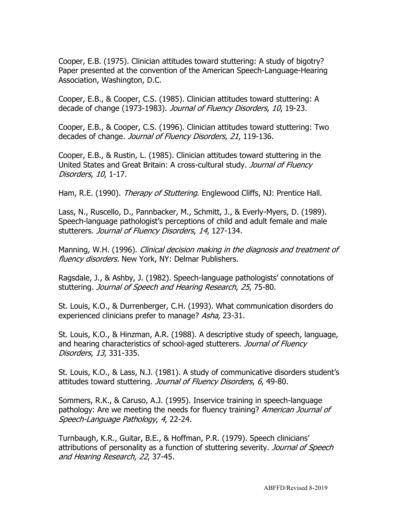Cooper, E.B. (1975). Clinician attitudes toward stuttering: A study of bigotry? Paper presented at the convention of the American Speech-Language-Hearing Association, Washington, D.C.

Cooper, E.B., & Cooper, C.S. (1985). Clinician attitudes toward stuttering: A decade of change (1973-1983). Journal of Fluency Disorders, 10, 19-23.

Cooper, E.B., & Cooper, C.S. (1996). Clinician attitudes toward stuttering: Two decades of change. Journal of Fluency Disorders, 21, 119-136.

Cooper, E.B., & Rustin, L. (1985). Clinician attitudes toward stuttering in the United States and Great Britain: A cross-cultural study. Journal of Fluency Disorders, 10, 1-17.

Ham, R.E. (1990). *Therapy of Stuttering*. Englewood Cliffs, NJ: Prentice Hall.

Lass, N., Ruscello, D., Pannbacker, M., Schmitt, J., & Everly-Myers, D. (1989). Speech-language pathologist's perceptions of child and adult female and male stutterers. Journal of Fluency Disorders, 14, 127-134.

Manning, W.H. (1996). *Clinical decision making in the diagnosis and treatment of* fluency disorders. New York, NY: Delmar Publishers.

Ragsdale, J., & Ashby, J. (1982). Speech-language pathologists' connotations of stuttering. Journal of Speech and Hearing Research, 25, 75-80.

St. Louis, K.O., & Durrenberger, C.H. (1993). What communication disorders do experienced clinicians prefer to manage? Asha, 23-31.

St. Louis, K.O., & Hinzman, A.R. (1988). A descriptive study of speech, language, and hearing characteristics of school-aged stutterers. Journal of Fluency Disorders, 13, 331-335.

St. Louis, K.O., & Lass, N.J. (1981). A study of communicative disorders student's attitudes toward stuttering. Journal of Fluency Disorders, 6, 49-80.

Sommers, R.K., & Caruso, A.J. (1995). Inservice training in speech-language pathology: Are we meeting the needs for fluency training? American Journal of Speech-Language Pathology, 4, 22-24.

Turnbaugh, K.R., Guitar, B.E., & Hoffman, P.R. (1979). Speech clinicians' attributions of personality as a function of stuttering severity. Journal of Speech and Hearing Research, 22, 37-45.